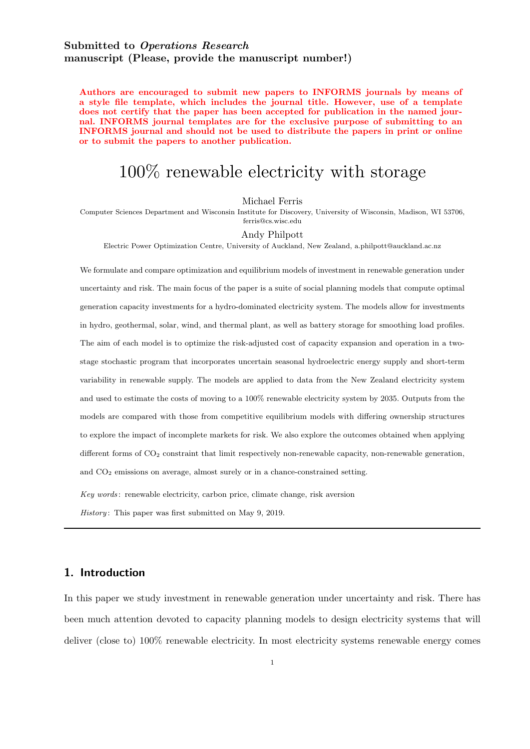# Submitted to Operations Research manuscript (Please, provide the manuscript number!)

Authors are encouraged to submit new papers to INFORMS journals by means of a style file template, which includes the journal title. However, use of a template does not certify that the paper has been accepted for publication in the named journal. INFORMS journal templates are for the exclusive purpose of submitting to an INFORMS journal and should not be used to distribute the papers in print or online or to submit the papers to another publication.

# 100% renewable electricity with storage

Michael Ferris

Computer Sciences Department and Wisconsin Institute for Discovery, University of Wisconsin, Madison, WI 53706, ferris@cs.wisc.edu

#### Andy Philpott

Electric Power Optimization Centre, University of Auckland, New Zealand, a.philpott@auckland.ac.nz

We formulate and compare optimization and equilibrium models of investment in renewable generation under uncertainty and risk. The main focus of the paper is a suite of social planning models that compute optimal generation capacity investments for a hydro-dominated electricity system. The models allow for investments in hydro, geothermal, solar, wind, and thermal plant, as well as battery storage for smoothing load profiles. The aim of each model is to optimize the risk-adjusted cost of capacity expansion and operation in a twostage stochastic program that incorporates uncertain seasonal hydroelectric energy supply and short-term variability in renewable supply. The models are applied to data from the New Zealand electricity system and used to estimate the costs of moving to a 100% renewable electricity system by 2035. Outputs from the models are compared with those from competitive equilibrium models with differing ownership structures to explore the impact of incomplete markets for risk. We also explore the outcomes obtained when applying different forms of  $CO<sub>2</sub>$  constraint that limit respectively non-renewable capacity, non-renewable generation, and CO<sup>2</sup> emissions on average, almost surely or in a chance-constrained setting.

Key words: renewable electricity, carbon price, climate change, risk aversion

History: This paper was first submitted on May 9, 2019.

# 1. Introduction

In this paper we study investment in renewable generation under uncertainty and risk. There has been much attention devoted to capacity planning models to design electricity systems that will deliver (close to) 100% renewable electricity. In most electricity systems renewable energy comes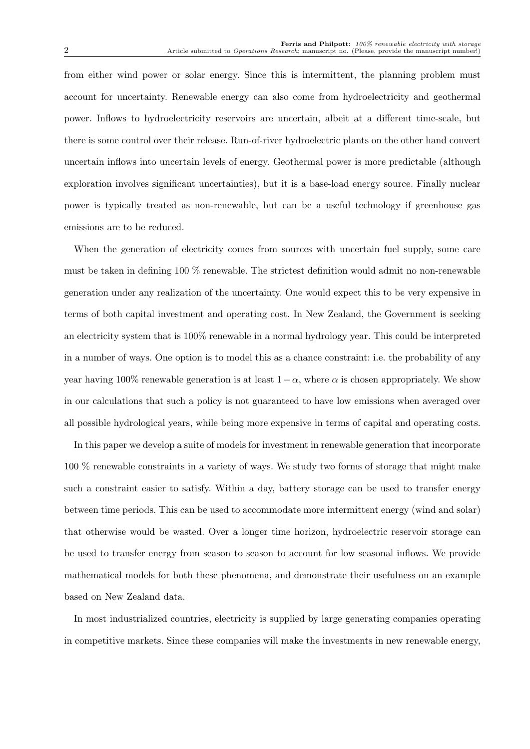from either wind power or solar energy. Since this is intermittent, the planning problem must account for uncertainty. Renewable energy can also come from hydroelectricity and geothermal power. Inflows to hydroelectricity reservoirs are uncertain, albeit at a different time-scale, but there is some control over their release. Run-of-river hydroelectric plants on the other hand convert uncertain inflows into uncertain levels of energy. Geothermal power is more predictable (although exploration involves significant uncertainties), but it is a base-load energy source. Finally nuclear power is typically treated as non-renewable, but can be a useful technology if greenhouse gas emissions are to be reduced.

When the generation of electricity comes from sources with uncertain fuel supply, some care must be taken in defining 100 % renewable. The strictest definition would admit no non-renewable generation under any realization of the uncertainty. One would expect this to be very expensive in terms of both capital investment and operating cost. In New Zealand, the Government is seeking an electricity system that is 100% renewable in a normal hydrology year. This could be interpreted in a number of ways. One option is to model this as a chance constraint: i.e. the probability of any year having 100% renewable generation is at least  $1 - \alpha$ , where  $\alpha$  is chosen appropriately. We show in our calculations that such a policy is not guaranteed to have low emissions when averaged over all possible hydrological years, while being more expensive in terms of capital and operating costs.

In this paper we develop a suite of models for investment in renewable generation that incorporate 100 % renewable constraints in a variety of ways. We study two forms of storage that might make such a constraint easier to satisfy. Within a day, battery storage can be used to transfer energy between time periods. This can be used to accommodate more intermittent energy (wind and solar) that otherwise would be wasted. Over a longer time horizon, hydroelectric reservoir storage can be used to transfer energy from season to season to account for low seasonal inflows. We provide mathematical models for both these phenomena, and demonstrate their usefulness on an example based on New Zealand data.

In most industrialized countries, electricity is supplied by large generating companies operating in competitive markets. Since these companies will make the investments in new renewable energy,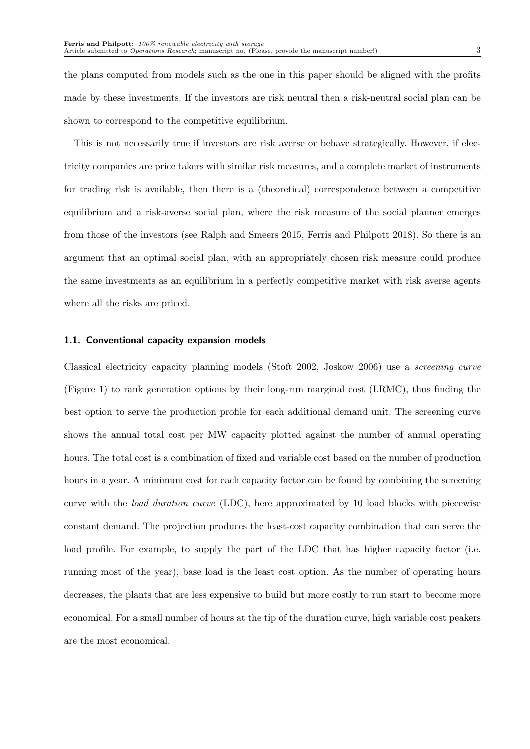the plans computed from models such as the one in this paper should be aligned with the profits made by these investments. If the investors are risk neutral then a risk-neutral social plan can be shown to correspond to the competitive equilibrium.

This is not necessarily true if investors are risk averse or behave strategically. However, if electricity companies are price takers with similar risk measures, and a complete market of instruments for trading risk is available, then there is a (theoretical) correspondence between a competitive equilibrium and a risk-averse social plan, where the risk measure of the social planner emerges from those of the investors (see Ralph and Smeers 2015, Ferris and Philpott 2018). So there is an argument that an optimal social plan, with an appropriately chosen risk measure could produce the same investments as an equilibrium in a perfectly competitive market with risk averse agents where all the risks are priced.

#### 1.1. Conventional capacity expansion models

Classical electricity capacity planning models (Stoft 2002, Joskow 2006) use a screening curve (Figure 1) to rank generation options by their long-run marginal cost (LRMC), thus finding the best option to serve the production profile for each additional demand unit. The screening curve shows the annual total cost per MW capacity plotted against the number of annual operating hours. The total cost is a combination of fixed and variable cost based on the number of production hours in a year. A minimum cost for each capacity factor can be found by combining the screening curve with the load duration curve (LDC), here approximated by 10 load blocks with piecewise constant demand. The projection produces the least-cost capacity combination that can serve the load profile. For example, to supply the part of the LDC that has higher capacity factor (i.e. running most of the year), base load is the least cost option. As the number of operating hours decreases, the plants that are less expensive to build but more costly to run start to become more economical. For a small number of hours at the tip of the duration curve, high variable cost peakers are the most economical.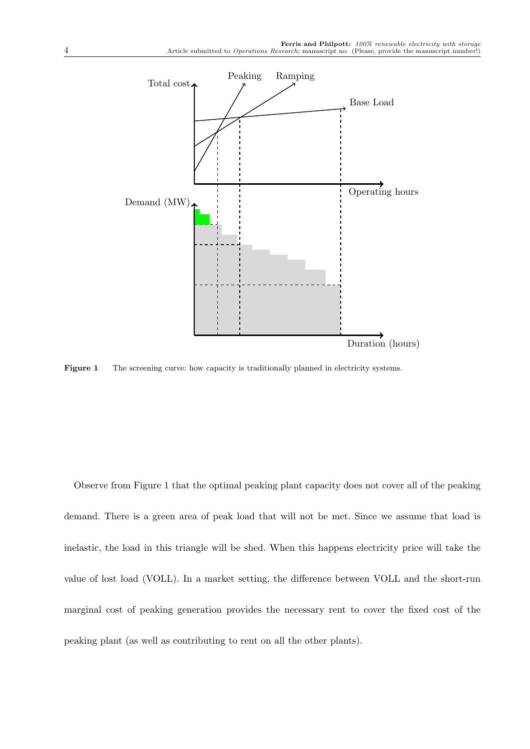

Figure 1 The screening curve: how capacity is traditionally planned in electricity systems.

Observe from Figure 1 that the optimal peaking plant capacity does not cover all of the peaking demand. There is a green area of peak load that will not be met. Since we assume that load is inelastic, the load in this triangle will be shed. When this happens electricity price will take the value of lost load (VOLL). In a market setting, the difference between VOLL and the short-run marginal cost of peaking generation provides the necessary rent to cover the fixed cost of the peaking plant (as well as contributing to rent on all the other plants).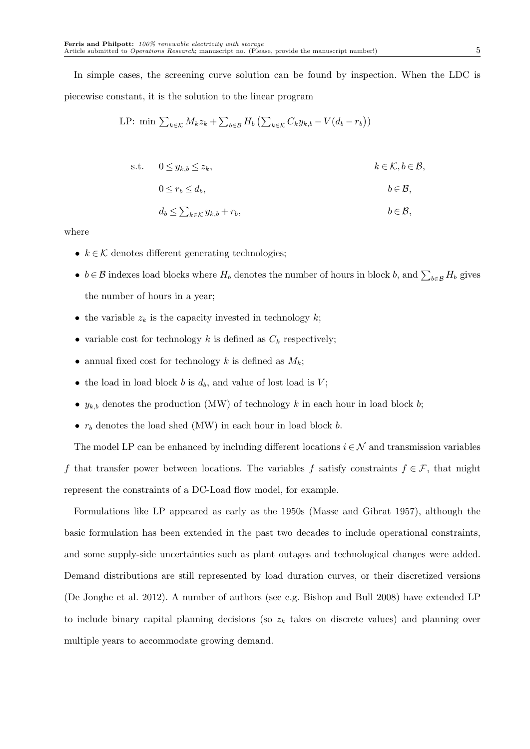In simple cases, the screening curve solution can be found by inspection. When the LDC is piecewise constant, it is the solution to the linear program

LP: min 
$$
\sum_{k \in \mathcal{K}} M_k z_k + \sum_{b \in \mathcal{B}} H_b \left( \sum_{k \in \mathcal{K}} C_k y_{k,b} - V(d_b - r_b) \right)
$$

s.t.  $0 \leq y_{k,b} \leq z_k$ ,  $k \in \mathcal{K}, b \in \mathcal{B}$ ,

$$
0 \le r_b \le d_b, \qquad b \in \mathcal{B},
$$

$$
d_b \leq \sum_{k \in \mathcal{K}} y_{k,b} + r_b, \qquad b \in \mathcal{B},
$$

where

- $k \in \mathcal{K}$  denotes different generating technologies;
- $b \in \mathcal{B}$  indexes load blocks where  $H_b$  denotes the number of hours in block b, and  $\sum_{b \in \mathcal{B}} H_b$  gives the number of hours in a year;
- the variable  $z_k$  is the capacity invested in technology  $k$ ;
- variable cost for technology k is defined as  $C_k$  respectively;
- annual fixed cost for technology k is defined as  $M_k$ ;
- the load in load block b is  $d_b$ , and value of lost load is  $V$ ;
- $y_{k,b}$  denotes the production (MW) of technology k in each hour in load block b;
- $r_b$  denotes the load shed (MW) in each hour in load block b.

The model LP can be enhanced by including different locations  $i \in \mathcal{N}$  and transmission variables f that transfer power between locations. The variables f satisfy constraints  $f \in \mathcal{F}$ , that might represent the constraints of a DC-Load flow model, for example.

Formulations like LP appeared as early as the 1950s (Masse and Gibrat 1957), although the basic formulation has been extended in the past two decades to include operational constraints, and some supply-side uncertainties such as plant outages and technological changes were added. Demand distributions are still represented by load duration curves, or their discretized versions (De Jonghe et al. 2012). A number of authors (see e.g. Bishop and Bull 2008) have extended LP to include binary capital planning decisions (so  $z<sub>k</sub>$  takes on discrete values) and planning over multiple years to accommodate growing demand.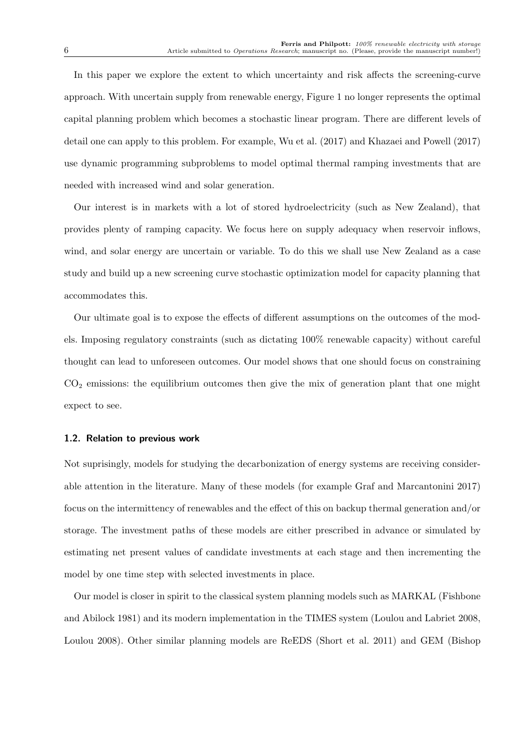In this paper we explore the extent to which uncertainty and risk affects the screening-curve approach. With uncertain supply from renewable energy, Figure 1 no longer represents the optimal capital planning problem which becomes a stochastic linear program. There are different levels of detail one can apply to this problem. For example, Wu et al. (2017) and Khazaei and Powell (2017) use dynamic programming subproblems to model optimal thermal ramping investments that are needed with increased wind and solar generation.

Our interest is in markets with a lot of stored hydroelectricity (such as New Zealand), that provides plenty of ramping capacity. We focus here on supply adequacy when reservoir inflows, wind, and solar energy are uncertain or variable. To do this we shall use New Zealand as a case study and build up a new screening curve stochastic optimization model for capacity planning that accommodates this.

Our ultimate goal is to expose the effects of different assumptions on the outcomes of the models. Imposing regulatory constraints (such as dictating 100% renewable capacity) without careful thought can lead to unforeseen outcomes. Our model shows that one should focus on constraining  $CO<sub>2</sub>$  emissions: the equilibrium outcomes then give the mix of generation plant that one might expect to see.

#### 1.2. Relation to previous work

Not suprisingly, models for studying the decarbonization of energy systems are receiving considerable attention in the literature. Many of these models (for example Graf and Marcantonini 2017) focus on the intermittency of renewables and the effect of this on backup thermal generation and/or storage. The investment paths of these models are either prescribed in advance or simulated by estimating net present values of candidate investments at each stage and then incrementing the model by one time step with selected investments in place.

Our model is closer in spirit to the classical system planning models such as MARKAL (Fishbone and Abilock 1981) and its modern implementation in the TIMES system (Loulou and Labriet 2008, Loulou 2008). Other similar planning models are ReEDS (Short et al. 2011) and GEM (Bishop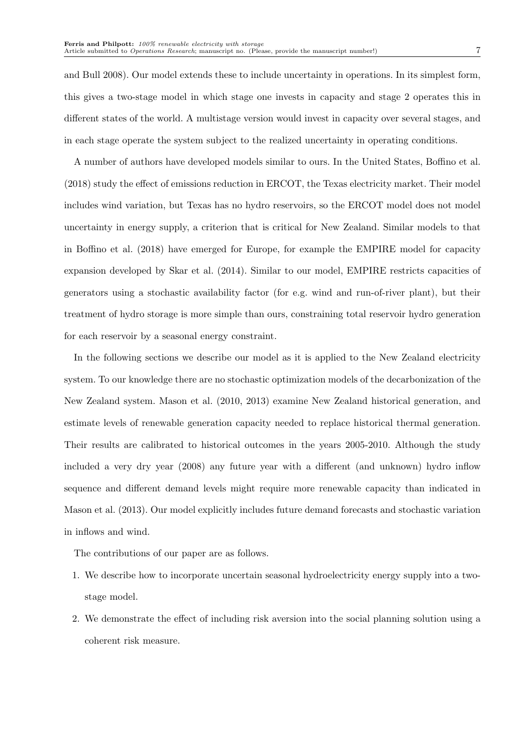and Bull 2008). Our model extends these to include uncertainty in operations. In its simplest form, this gives a two-stage model in which stage one invests in capacity and stage 2 operates this in different states of the world. A multistage version would invest in capacity over several stages, and in each stage operate the system subject to the realized uncertainty in operating conditions.

A number of authors have developed models similar to ours. In the United States, Boffino et al. (2018) study the effect of emissions reduction in ERCOT, the Texas electricity market. Their model includes wind variation, but Texas has no hydro reservoirs, so the ERCOT model does not model uncertainty in energy supply, a criterion that is critical for New Zealand. Similar models to that in Boffino et al. (2018) have emerged for Europe, for example the EMPIRE model for capacity expansion developed by Skar et al. (2014). Similar to our model, EMPIRE restricts capacities of generators using a stochastic availability factor (for e.g. wind and run-of-river plant), but their treatment of hydro storage is more simple than ours, constraining total reservoir hydro generation for each reservoir by a seasonal energy constraint.

In the following sections we describe our model as it is applied to the New Zealand electricity system. To our knowledge there are no stochastic optimization models of the decarbonization of the New Zealand system. Mason et al. (2010, 2013) examine New Zealand historical generation, and estimate levels of renewable generation capacity needed to replace historical thermal generation. Their results are calibrated to historical outcomes in the years 2005-2010. Although the study included a very dry year (2008) any future year with a different (and unknown) hydro inflow sequence and different demand levels might require more renewable capacity than indicated in Mason et al. (2013). Our model explicitly includes future demand forecasts and stochastic variation in inflows and wind.

The contributions of our paper are as follows.

- 1. We describe how to incorporate uncertain seasonal hydroelectricity energy supply into a twostage model.
- 2. We demonstrate the effect of including risk aversion into the social planning solution using a coherent risk measure.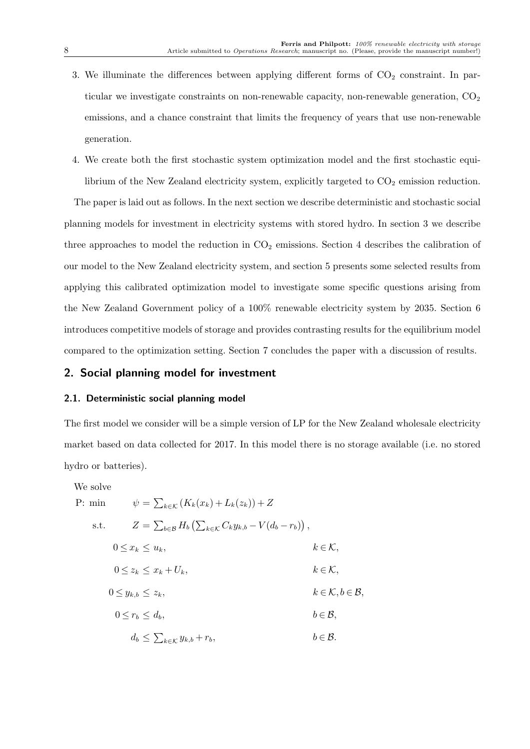- 3. We illuminate the differences between applying different forms of  $CO<sub>2</sub>$  constraint. In particular we investigate constraints on non-renewable capacity, non-renewable generation,  $CO<sub>2</sub>$ emissions, and a chance constraint that limits the frequency of years that use non-renewable generation.
- 4. We create both the first stochastic system optimization model and the first stochastic equilibrium of the New Zealand electricity system, explicitly targeted to  $CO<sub>2</sub>$  emission reduction.

The paper is laid out as follows. In the next section we describe deterministic and stochastic social planning models for investment in electricity systems with stored hydro. In section 3 we describe three approaches to model the reduction in  $CO<sub>2</sub>$  emissions. Section 4 describes the calibration of our model to the New Zealand electricity system, and section 5 presents some selected results from applying this calibrated optimization model to investigate some specific questions arising from the New Zealand Government policy of a 100% renewable electricity system by 2035. Section 6 introduces competitive models of storage and provides contrasting results for the equilibrium model compared to the optimization setting. Section 7 concludes the paper with a discussion of results.

### 2. Social planning model for investment

#### 2.1. Deterministic social planning model

The first model we consider will be a simple version of LP for the New Zealand wholesale electricity market based on data collected for 2017. In this model there is no storage available (i.e. no stored hydro or batteries).

We solve

P: m

$$
\sin \psi = \sum_{k \in \mathcal{K}} (K_k(x_k) + L_k(z_k)) + Z
$$

s.t. 
$$
Z = \sum_{b \in \mathcal{B}} H_b \left( \sum_{k \in \mathcal{K}} C_k y_{k,b} - V(d_b - r_b) \right),
$$

$$
0 \le x_k \le u_k, \qquad k \in \mathcal{K},
$$
  
\n
$$
0 \le z_k \le x_k + U_k, \qquad k \in \mathcal{K},
$$
  
\n
$$
0 \le y_{k,b} \le z_k, \qquad k \in \mathcal{K}, b \in \mathcal{B},
$$
  
\n
$$
0 \le r_b \le d_b, \qquad b \in \mathcal{B},
$$
  
\n
$$
d_b \le \sum_{k \in \mathcal{K}} y_{k,b} + r_b, \qquad b \in \mathcal{B}.
$$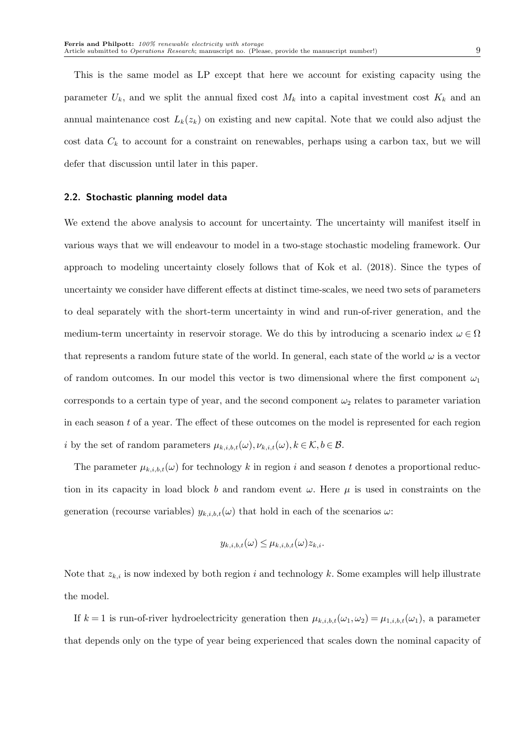This is the same model as LP except that here we account for existing capacity using the parameter  $U_k$ , and we split the annual fixed cost  $M_k$  into a capital investment cost  $K_k$  and an annual maintenance cost  $L_k(z_k)$  on existing and new capital. Note that we could also adjust the cost data  $C_k$  to account for a constraint on renewables, perhaps using a carbon tax, but we will defer that discussion until later in this paper.

#### 2.2. Stochastic planning model data

We extend the above analysis to account for uncertainty. The uncertainty will manifest itself in various ways that we will endeavour to model in a two-stage stochastic modeling framework. Our approach to modeling uncertainty closely follows that of Kok et al. (2018). Since the types of uncertainty we consider have different effects at distinct time-scales, we need two sets of parameters to deal separately with the short-term uncertainty in wind and run-of-river generation, and the medium-term uncertainty in reservoir storage. We do this by introducing a scenario index  $\omega \in \Omega$ that represents a random future state of the world. In general, each state of the world  $\omega$  is a vector of random outcomes. In our model this vector is two dimensional where the first component  $\omega_1$ corresponds to a certain type of year, and the second component  $\omega_2$  relates to parameter variation in each season  $t$  of a year. The effect of these outcomes on the model is represented for each region i by the set of random parameters  $\mu_{k,i,b,t}(\omega), \nu_{k,i,t}(\omega), k \in \mathcal{K}, b \in \mathcal{B}$ .

The parameter  $\mu_{k,i,b,t}(\omega)$  for technology k in region i and season t denotes a proportional reduction in its capacity in load block b and random event  $\omega$ . Here  $\mu$  is used in constraints on the generation (recourse variables)  $y_{k,i,b,t}(\omega)$  that hold in each of the scenarios  $\omega$ :

$$
y_{k,i,b,t}(\omega) \leq \mu_{k,i,b,t}(\omega) z_{k,i}.
$$

Note that  $z_{k,i}$  is now indexed by both region i and technology k. Some examples will help illustrate the model.

If  $k = 1$  is run-of-river hydroelectricity generation then  $\mu_{k,i,b,t}(\omega_1, \omega_2) = \mu_{1,i,b,t}(\omega_1)$ , a parameter that depends only on the type of year being experienced that scales down the nominal capacity of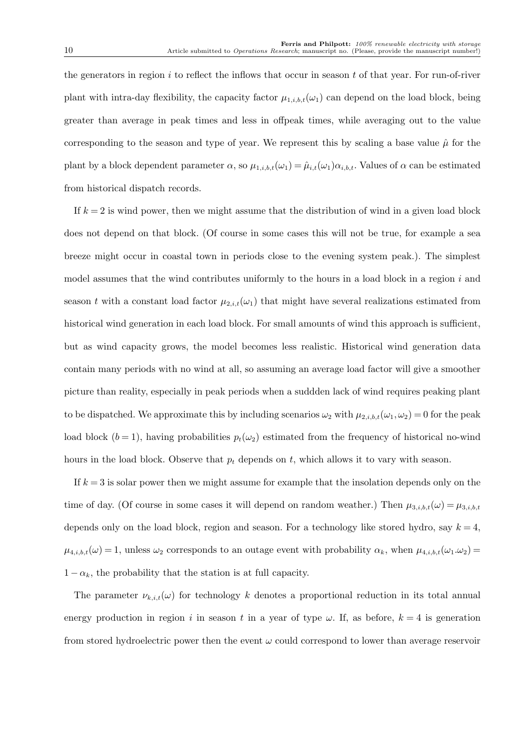the generators in region  $i$  to reflect the inflows that occur in season  $t$  of that year. For run-of-river plant with intra-day flexibility, the capacity factor  $\mu_{1,i,b,t}(\omega_1)$  can depend on the load block, being greater than average in peak times and less in offpeak times, while averaging out to the value corresponding to the season and type of year. We represent this by scaling a base value  $\hat{\mu}$  for the plant by a block dependent parameter  $\alpha$ , so  $\mu_{1,i,b,t}(\omega_1) = \hat{\mu}_{i,t}(\omega_1)\alpha_{i,b,t}$ . Values of  $\alpha$  can be estimated from historical dispatch records.

If  $k = 2$  is wind power, then we might assume that the distribution of wind in a given load block does not depend on that block. (Of course in some cases this will not be true, for example a sea breeze might occur in coastal town in periods close to the evening system peak.). The simplest model assumes that the wind contributes uniformly to the hours in a load block in a region  $i$  and season t with a constant load factor  $\mu_{2,i,t}(\omega_1)$  that might have several realizations estimated from historical wind generation in each load block. For small amounts of wind this approach is sufficient, but as wind capacity grows, the model becomes less realistic. Historical wind generation data contain many periods with no wind at all, so assuming an average load factor will give a smoother picture than reality, especially in peak periods when a suddden lack of wind requires peaking plant to be dispatched. We approximate this by including scenarios  $\omega_2$  with  $\mu_{2,i,b,t}(\omega_1, \omega_2) = 0$  for the peak load block  $(b = 1)$ , having probabilities  $p_t(\omega_2)$  estimated from the frequency of historical no-wind hours in the load block. Observe that  $p_t$  depends on  $t$ , which allows it to vary with season.

If  $k = 3$  is solar power then we might assume for example that the insolation depends only on the time of day. (Of course in some cases it will depend on random weather.) Then  $\mu_{3,i,b,t}(\omega) = \mu_{3,i,b,t}(\omega)$ depends only on the load block, region and season. For a technology like stored hydro, say  $k = 4$ ,  $\mu_{4,i,b,t}(\omega) = 1$ , unless  $\omega_2$  corresponds to an outage event with probability  $\alpha_k$ , when  $\mu_{4,i,b,t}(\omega_1.\omega_2) =$  $1 - \alpha_k$ , the probability that the station is at full capacity.

The parameter  $\nu_{k,i,t}(\omega)$  for technology k denotes a proportional reduction in its total annual energy production in region i in season t in a year of type  $\omega$ . If, as before,  $k = 4$  is generation from stored hydroelectric power then the event  $\omega$  could correspond to lower than average reservoir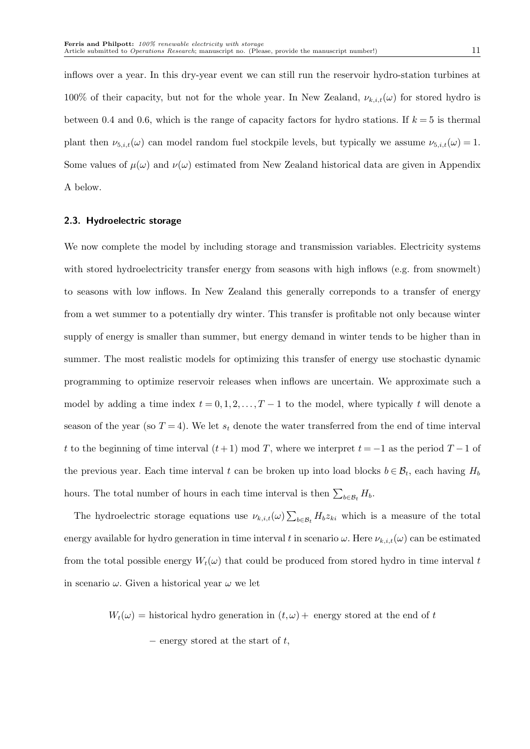inflows over a year. In this dry-year event we can still run the reservoir hydro-station turbines at 100% of their capacity, but not for the whole year. In New Zealand,  $\nu_{k,i,t}(\omega)$  for stored hydro is between 0.4 and 0.6, which is the range of capacity factors for hydro stations. If  $k = 5$  is thermal plant then  $\nu_{5,i,t}(\omega)$  can model random fuel stockpile levels, but typically we assume  $\nu_{5,i,t}(\omega) = 1$ . Some values of  $\mu(\omega)$  and  $\nu(\omega)$  estimated from New Zealand historical data are given in Appendix A below.

#### 2.3. Hydroelectric storage

We now complete the model by including storage and transmission variables. Electricity systems with stored hydroelectricity transfer energy from seasons with high inflows (e.g. from snowmelt) to seasons with low inflows. In New Zealand this generally correponds to a transfer of energy from a wet summer to a potentially dry winter. This transfer is profitable not only because winter supply of energy is smaller than summer, but energy demand in winter tends to be higher than in summer. The most realistic models for optimizing this transfer of energy use stochastic dynamic programming to optimize reservoir releases when inflows are uncertain. We approximate such a model by adding a time index  $t = 0, 1, 2, \ldots, T - 1$  to the model, where typically t will denote a season of the year (so  $T = 4$ ). We let  $s_t$  denote the water transferred from the end of time interval t to the beginning of time interval  $(t+1) \mod T$ , where we interpret  $t = -1$  as the period  $T-1$  of the previous year. Each time interval t can be broken up into load blocks  $b \in \mathcal{B}_t$ , each having  $H_b$ hours. The total number of hours in each time interval is then  $\sum_{b \in \mathcal{B}_t} H_b$ .

The hydroelectric storage equations use  $\nu_{k,i,t}(\omega) \sum_{b \in \mathcal{B}_t} H_b z_{ki}$  which is a measure of the total energy available for hydro generation in time interval t in scenario  $\omega$ . Here  $\nu_{k,i,t}(\omega)$  can be estimated from the total possible energy  $W_t(\omega)$  that could be produced from stored hydro in time interval t in scenario  $\omega$ . Given a historical year  $\omega$  we let

 $W_t(\omega) =$  historical hydro generation in  $(t, \omega)$  + energy stored at the end of t

 $-$  energy stored at the start of t,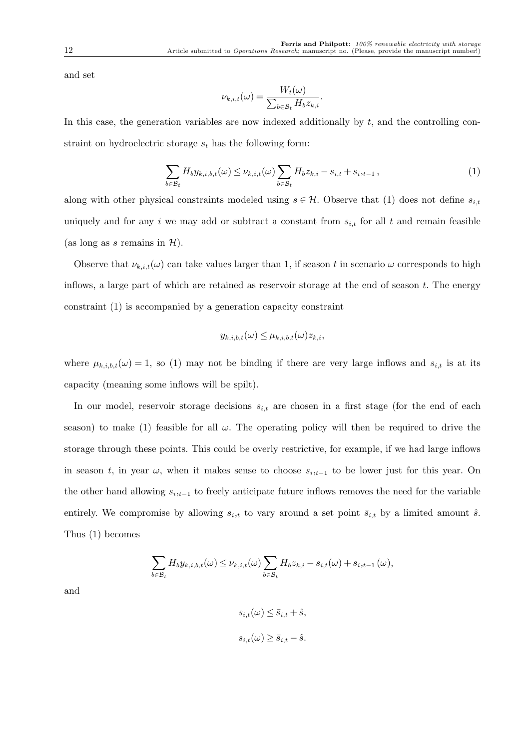and set

$$
\nu_{k,i,t}(\omega) = \frac{W_t(\omega)}{\sum_{b \in \mathcal{B}_t} H_b z_{k,i}}.
$$

In this case, the generation variables are now indexed additionally by  $t$ , and the controlling constraint on hydroelectric storage  $s_t$  has the following form:

$$
\sum_{b \in \mathcal{B}_t} H_b y_{k,i,b,t}(\omega) \le \nu_{k,i,t}(\omega) \sum_{b \in \mathcal{B}_t} H_b z_{k,i} - s_{i,t} + s_{i,t-1},\tag{1}
$$

along with other physical constraints modeled using  $s \in \mathcal{H}$ . Observe that (1) does not define  $s_{i,t}$ uniquely and for any i we may add or subtract a constant from  $s_{i,t}$  for all t and remain feasible (as long as s remains in  $\mathcal{H}$ ).

Observe that  $\nu_{k,i,t}(\omega)$  can take values larger than 1, if season t in scenario  $\omega$  corresponds to high inflows, a large part of which are retained as reservoir storage at the end of season t. The energy constraint (1) is accompanied by a generation capacity constraint

$$
y_{k,i,b,t}(\omega) \leq \mu_{k,i,b,t}(\omega) z_{k,i},
$$

where  $\mu_{k,i,b,t}(\omega) = 1$ , so (1) may not be binding if there are very large inflows and  $s_{i,t}$  is at its capacity (meaning some inflows will be spilt).

In our model, reservoir storage decisions  $s_{i,t}$  are chosen in a first stage (for the end of each season) to make (1) feasible for all  $\omega$ . The operating policy will then be required to drive the storage through these points. This could be overly restrictive, for example, if we had large inflows in season t, in year  $\omega$ , when it makes sense to choose  $s_{i,t-1}$  to be lower just for this year. On the other hand allowing  $s_{i,t-1}$  to freely anticipate future inflows removes the need for the variable entirely. We compromise by allowing  $s_{i,t}$  to vary around a set point  $\bar{s}_{i,t}$  by a limited amount  $\hat{s}$ . Thus (1) becomes

$$
\sum_{b \in \mathcal{B}_t} H_b y_{k,i,b,t}(\omega) \leq \nu_{k,i,t}(\omega) \sum_{b \in \mathcal{B}_t} H_b z_{k,i} - s_{i,t}(\omega) + s_{i,t-1}(\omega),
$$

and

$$
s_{i,t}(\omega) \le \bar{s}_{i,t} + \hat{s},
$$
  

$$
s_{i,t}(\omega) \ge \bar{s}_{i,t} - \hat{s}.
$$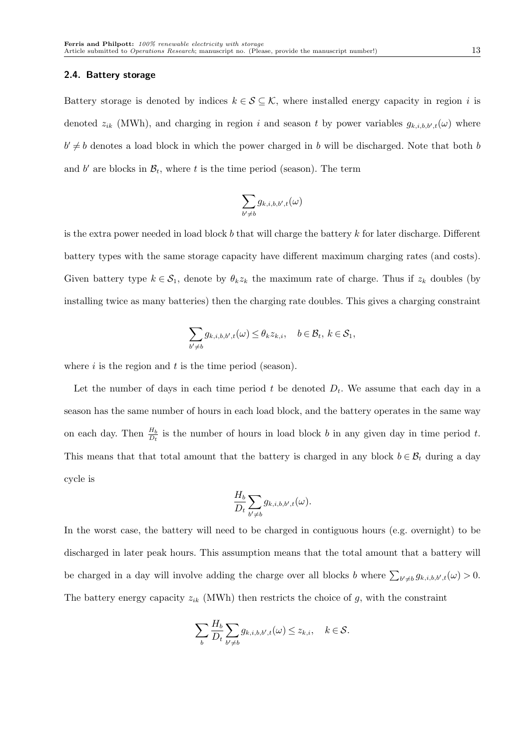#### 2.4. Battery storage

Battery storage is denoted by indices  $k \in S \subseteq \mathcal{K}$ , where installed energy capacity in region i is denoted  $z_{ik}$  (MWh), and charging in region i and season t by power variables  $g_{k,i,b,b',t}(\omega)$  where  $b' \neq b$  denotes a load block in which the power charged in b will be discharged. Note that both b and b' are blocks in  $\mathcal{B}_t$ , where t is the time period (season). The term

$$
\sum_{b'\neq b} g_{k,i,b,b',t}(\omega)
$$

is the extra power needed in load block b that will charge the battery  $k$  for later discharge. Different battery types with the same storage capacity have different maximum charging rates (and costs). Given battery type  $k \in S_1$ , denote by  $\theta_k z_k$  the maximum rate of charge. Thus if  $z_k$  doubles (by installing twice as many batteries) then the charging rate doubles. This gives a charging constraint

$$
\sum_{b'\neq b} g_{k,i,b,b',t}(\omega) \leq \theta_k z_{k,i}, \quad b\in \mathcal{B}_t, \ k\in \mathcal{S}_1,
$$

where  $i$  is the region and  $t$  is the time period (season).

Let the number of days in each time period  $t$  be denoted  $D_t$ . We assume that each day in a season has the same number of hours in each load block, and the battery operates in the same way on each day. Then  $\frac{H_b}{D_t}$  is the number of hours in load block b in any given day in time period t. This means that that total amount that the battery is charged in any block  $b \in \mathcal{B}_t$  during a day cycle is

$$
\frac{H_b}{D_t} \sum_{b' \neq b} g_{k,i,b,b',t}(\omega).
$$

In the worst case, the battery will need to be charged in contiguous hours (e.g. overnight) to be discharged in later peak hours. This assumption means that the total amount that a battery will be charged in a day will involve adding the charge over all blocks b where  $\sum_{b'\neq b} g_{k,i,b,b',t}(\omega) > 0$ . The battery energy capacity  $z_{ik}$  (MWh) then restricts the choice of  $g$ , with the constraint

$$
\sum_{b} \frac{H_b}{D_t} \sum_{b' \neq b} g_{k,i,b,b',t}(\omega) \leq z_{k,i}, \quad k \in \mathcal{S}.
$$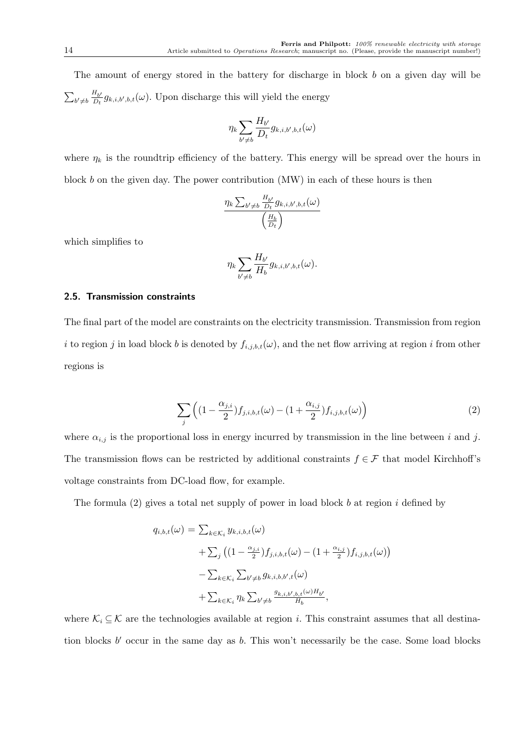The amount of energy stored in the battery for discharge in block b on a given day will be  $\sum_{b' \neq b} \frac{H_{b'}}{D_t}$  $\frac{H_{b'}}{D_t}g_{k,i,b',b,t}(\omega)$ . Upon discharge this will yield the energy

$$
\eta_k \sum_{b' \neq b} \frac{H_{b'}}{D_t} g_{k,i,b',b,t}(\omega)
$$

where  $\eta_k$  is the roundtrip efficiency of the battery. This energy will be spread over the hours in block b on the given day. The power contribution (MW) in each of these hours is then

$$
\frac{\eta_k \sum_{b' \neq b} \frac{H_{b'}}{D_t} g_{k,i,b',b,t}(\omega)}{\left(\frac{H_b}{D_t}\right)}
$$

which simplifies to

$$
\eta_k \sum_{b'\neq b} \frac{H_{b'}}{H_b} g_{k,i,b',b,t}(\omega).
$$

#### 2.5. Transmission constraints

The final part of the model are constraints on the electricity transmission. Transmission from region i to region j in load block b is denoted by  $f_{i,j,b,t}(\omega)$ , and the net flow arriving at region i from other regions is

$$
\sum_{j} \left( (1 - \frac{\alpha_{j,i}}{2}) f_{j,i,b,t}(\omega) - (1 + \frac{\alpha_{i,j}}{2}) f_{i,j,b,t}(\omega) \right) \tag{2}
$$

where  $\alpha_{i,j}$  is the proportional loss in energy incurred by transmission in the line between i and j. The transmission flows can be restricted by additional constraints  $f \in \mathcal{F}$  that model Kirchhoff's voltage constraints from DC-load flow, for example.

The formula (2) gives a total net supply of power in load block b at region i defined by

$$
q_{i,b,t}(\omega) = \sum_{k \in \mathcal{K}_i} y_{k,i,b,t}(\omega)
$$
  
+ 
$$
\sum_j \left( \left(1 - \frac{\alpha_{j,i}}{2}\right) f_{j,i,b,t}(\omega) - \left(1 + \frac{\alpha_{i,j}}{2}\right) f_{i,j,b,t}(\omega) \right)
$$
  
- 
$$
\sum_{k \in \mathcal{K}_i} \sum_{b' \neq b} g_{k,i,b,b',t}(\omega)
$$
  
+ 
$$
\sum_{k \in \mathcal{K}_i} \eta_k \sum_{b' \neq b} \frac{g_{k,i,b',b,t}(\omega) H_{b'}}{H_b},
$$

where  $\mathcal{K}_i \subseteq \mathcal{K}$  are the technologies available at region *i*. This constraint assumes that all destination blocks  $b'$  occur in the same day as  $b$ . This won't necessarily be the case. Some load blocks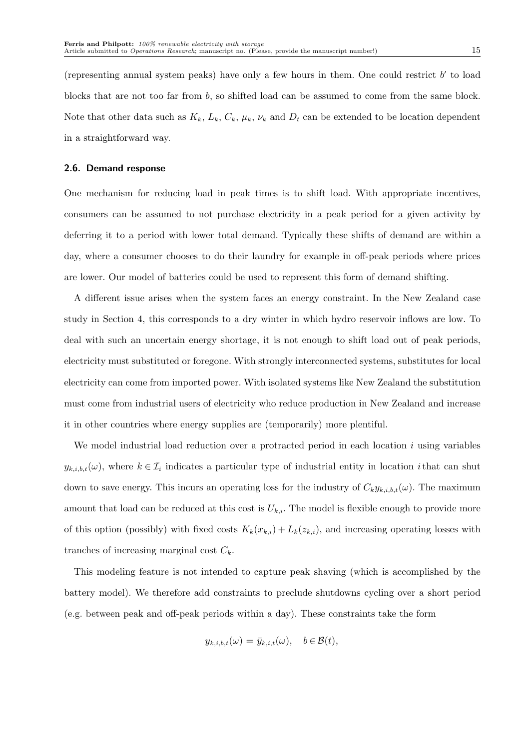(representing annual system peaks) have only a few hours in them. One could restrict  $b'$  to load blocks that are not too far from b, so shifted load can be assumed to come from the same block. Note that other data such as  $K_k$ ,  $L_k$ ,  $C_k$ ,  $\mu_k$ ,  $\nu_k$  and  $D_t$  can be extended to be location dependent in a straightforward way.

#### 2.6. Demand response

One mechanism for reducing load in peak times is to shift load. With appropriate incentives, consumers can be assumed to not purchase electricity in a peak period for a given activity by deferring it to a period with lower total demand. Typically these shifts of demand are within a day, where a consumer chooses to do their laundry for example in off-peak periods where prices are lower. Our model of batteries could be used to represent this form of demand shifting.

A different issue arises when the system faces an energy constraint. In the New Zealand case study in Section 4, this corresponds to a dry winter in which hydro reservoir inflows are low. To deal with such an uncertain energy shortage, it is not enough to shift load out of peak periods, electricity must substituted or foregone. With strongly interconnected systems, substitutes for local electricity can come from imported power. With isolated systems like New Zealand the substitution must come from industrial users of electricity who reduce production in New Zealand and increase it in other countries where energy supplies are (temporarily) more plentiful.

We model industrial load reduction over a protracted period in each location  $i$  using variables  $y_{k,i,b,t}(\omega)$ , where  $k \in \mathcal{I}_i$  indicates a particular type of industrial entity in location *i* that can shut down to save energy. This incurs an operating loss for the industry of  $C_k y_{k,i,b,t}(\omega)$ . The maximum amount that load can be reduced at this cost is  $U_{k,i}$ . The model is flexible enough to provide more of this option (possibly) with fixed costs  $K_k(x_{k,i}) + L_k(z_{k,i})$ , and increasing operating losses with tranches of increasing marginal cost  $C_k$ .

This modeling feature is not intended to capture peak shaving (which is accomplished by the battery model). We therefore add constraints to preclude shutdowns cycling over a short period (e.g. between peak and off-peak periods within a day). These constraints take the form

$$
y_{k,i,b,t}(\omega) = \bar{y}_{k,i,t}(\omega), \quad b \in \mathcal{B}(t),
$$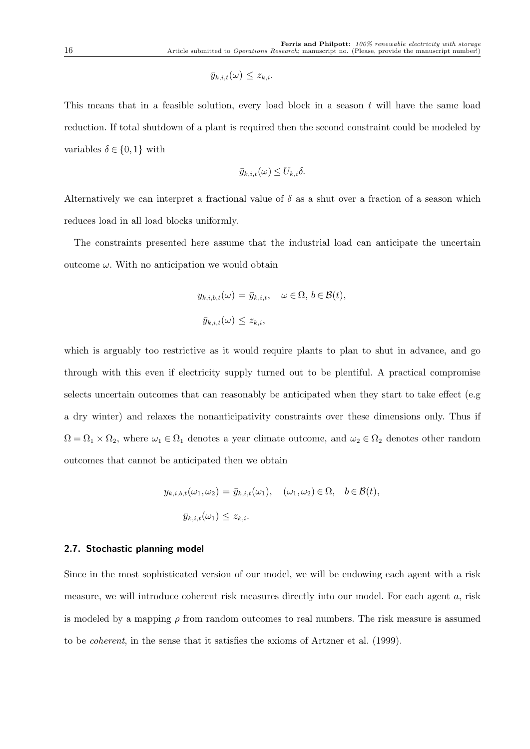$$
\bar{y}_{k,i,t}(\omega) \leq z_{k,i}.
$$

This means that in a feasible solution, every load block in a season  $t$  will have the same load reduction. If total shutdown of a plant is required then the second constraint could be modeled by variables  $\delta \in \{0, 1\}$  with

$$
\bar{y}_{k,i,t}(\omega) \leq U_{k,i} \delta.
$$

Alternatively we can interpret a fractional value of  $\delta$  as a shut over a fraction of a season which reduces load in all load blocks uniformly.

The constraints presented here assume that the industrial load can anticipate the uncertain outcome  $\omega$ . With no anticipation we would obtain

$$
y_{k,i,b,t}(\omega) = \bar{y}_{k,i,t}, \quad \omega \in \Omega, b \in \mathcal{B}(t),
$$
  

$$
\bar{y}_{k,i,t}(\omega) \le z_{k,i},
$$

which is arguably too restrictive as it would require plants to plan to shut in advance, and go through with this even if electricity supply turned out to be plentiful. A practical compromise selects uncertain outcomes that can reasonably be anticipated when they start to take effect (e.g. a dry winter) and relaxes the nonanticipativity constraints over these dimensions only. Thus if  $\Omega = \Omega_1 \times \Omega_2$ , where  $\omega_1 \in \Omega_1$  denotes a year climate outcome, and  $\omega_2 \in \Omega_2$  denotes other random outcomes that cannot be anticipated then we obtain

$$
y_{k,i,b,t}(\omega_1, \omega_2) = \bar{y}_{k,i,t}(\omega_1), \quad (\omega_1, \omega_2) \in \Omega, \quad b \in \mathcal{B}(t),
$$
  

$$
\bar{y}_{k,i,t}(\omega_1) \le z_{k,i}.
$$

#### 2.7. Stochastic planning model

Since in the most sophisticated version of our model, we will be endowing each agent with a risk measure, we will introduce coherent risk measures directly into our model. For each agent a, risk is modeled by a mapping  $\rho$  from random outcomes to real numbers. The risk measure is assumed to be coherent, in the sense that it satisfies the axioms of Artzner et al. (1999).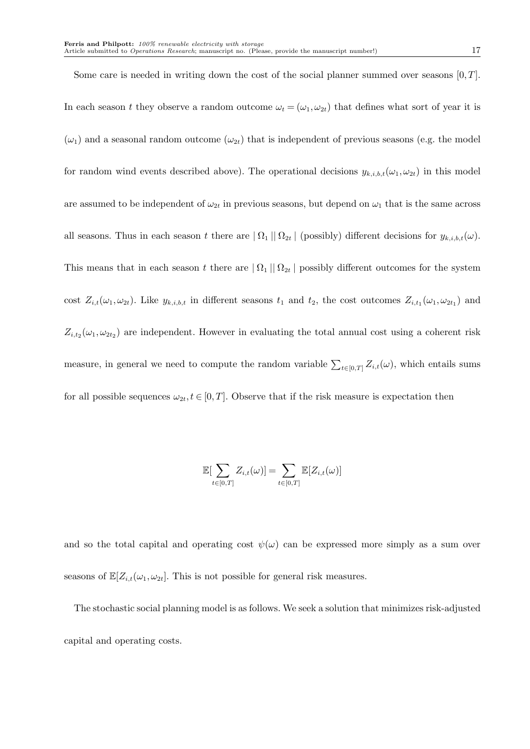Some care is needed in writing down the cost of the social planner summed over seasons  $[0, T]$ . In each season t they observe a random outcome  $\omega_t = (\omega_1, \omega_{2t})$  that defines what sort of year it is  $(\omega_1)$  and a seasonal random outcome  $(\omega_{2t})$  that is independent of previous seasons (e.g. the model for random wind events described above). The operational decisions  $y_{k,i,b,t}(\omega_1, \omega_{2t})$  in this model are assumed to be independent of  $\omega_{2t}$  in previous seasons, but depend on  $\omega_1$  that is the same across all seasons. Thus in each season t there are  $|\Omega_1| |\Omega_{2t}|$  (possibly) different decisions for  $y_{k,i,b,t}(\omega)$ . This means that in each season t there are  $|\Omega_1| |\Omega_{2t}|$  possibly different outcomes for the system cost  $Z_{i,t}(\omega_1,\omega_{2t})$ . Like  $y_{k,i,b,t}$  in different seasons  $t_1$  and  $t_2$ , the cost outcomes  $Z_{i,t_1}(\omega_1,\omega_{2t_1})$  and  $Z_{i,t_2}(\omega_1, \omega_{2t_2})$  are independent. However in evaluating the total annual cost using a coherent risk measure, in general we need to compute the random variable  $\sum_{t\in[0,T]}Z_{i,t}(\omega)$ , which entails sums for all possible sequences  $\omega_{2t}, t \in [0,T]$ . Observe that if the risk measure is expectation then

$$
\mathbb{E}[\sum_{t\in[0,T]}Z_{i,t}(\omega)]=\sum_{t\in[0,T]}\mathbb{E}[Z_{i,t}(\omega)]
$$

and so the total capital and operating cost  $\psi(\omega)$  can be expressed more simply as a sum over seasons of  $\mathbb{E}[Z_{i,t}(\omega_1, \omega_{2t}].$  This is not possible for general risk measures.

The stochastic social planning model is as follows. We seek a solution that minimizes risk-adjusted capital and operating costs.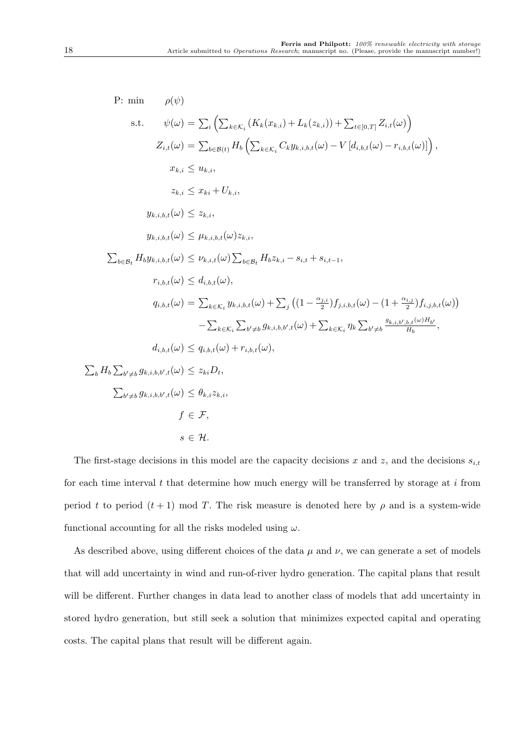P: min 
$$
\rho(\psi)
$$
  
\ns.t.  $\psi(\omega) = \sum_{i} \left( \sum_{k \in K_{i}} (K_{k}(x_{k,i}) + L_{k}(z_{k,i})) + \sum_{t \in [0,T]} Z_{i,t}(\omega) \right)$   
\n $Z_{i,t}(\omega) = \sum_{b \in B(t)} H_{b} \left( \sum_{k \in K_{i}} C_{k} y_{k,i,b,t}(\omega) - V [d_{i,b,t}(\omega) - r_{i,b,t}(\omega)] \right),$   
\n $x_{k,i} \leq u_{k,i},$   
\n $z_{k,i} \leq x_{ki} + U_{k,i},$   
\n $y_{k,i,b,t}(\omega) \leq z_{k,i},$   
\n $y_{k,i,b,t}(\omega) \leq \mu_{k,i,b,t}(\omega) z_{k,i},$   
\n $\sum_{b \in B_{i}} H_{b} y_{k,i,b,t}(\omega) \leq \nu_{k,i,t}(\omega) \sum_{b \in B_{i}} H_{b} z_{k,i} - s_{i,t} + s_{i,t-1},$   
\n $r_{i,b,t}(\omega) \leq d_{i,b,t}(\omega),$   
\n $q_{i,b,t}(\omega) = \sum_{k \in K_{i}} y_{k,i,b,t}(\omega) + \sum_{j} \left( \left( 1 - \frac{\alpha_{j,i}}{2} \right) f_{j,i,b,t}(\omega) - \left( 1 + \frac{\alpha_{i,j}}{2} \right) f_{i,j,b,t}(\omega) \right)$   
\n $- \sum_{k \in K_{i}} \sum_{b' \neq b} g_{k,i,b,b',t}(\omega) + \sum_{k \in K_{i}} \eta_{k} \sum_{b' \neq b} \frac{g_{k,i,b',b,t}(\omega) H_{b'}}{H_{b}},$   
\n $d_{i,b,t}(\omega) \leq q_{i,b,t}(\omega) + r_{i,b,t}(\omega),$   
\n $\sum_{b'} H_{b} \sum_{b' \neq b} g_{k,i,b,b',t}(\omega) \leq z_{ki} D_{t},$   
\n $\sum_{b' \neq b} g_{k,i,b,b',t}(\omega) \leq \theta_{k,i} z_{k,i},$   
\n $f \in \mathcal{F},$   
\n $s \in \mathcal{H}.$ 

The first-stage decisions in this model are the capacity decisions x and z, and the decisions  $s_{i,t}$ for each time interval  $t$  that determine how much energy will be transferred by storage at  $i$  from period t to period  $(t + 1)$  mod T. The risk measure is denoted here by  $\rho$  and is a system-wide functional accounting for all the risks modeled using  $\omega$ .

As described above, using different choices of the data  $\mu$  and  $\nu$ , we can generate a set of models that will add uncertainty in wind and run-of-river hydro generation. The capital plans that result will be different. Further changes in data lead to another class of models that add uncertainty in stored hydro generation, but still seek a solution that minimizes expected capital and operating costs. The capital plans that result will be different again.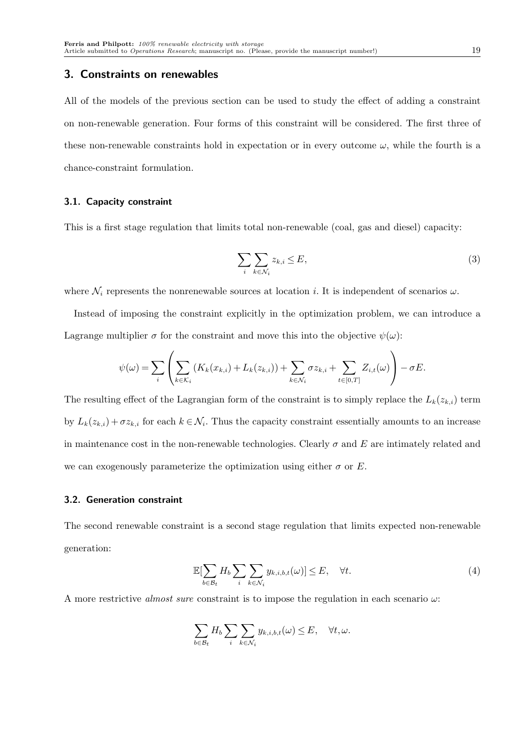#### 3. Constraints on renewables

All of the models of the previous section can be used to study the effect of adding a constraint on non-renewable generation. Four forms of this constraint will be considered. The first three of these non-renewable constraints hold in expectation or in every outcome  $\omega$ , while the fourth is a chance-constraint formulation.

#### 3.1. Capacity constraint

This is a first stage regulation that limits total non-renewable (coal, gas and diesel) capacity:

$$
\sum_{i} \sum_{k \in \mathcal{N}_i} z_{k,i} \le E,\tag{3}
$$

where  $\mathcal{N}_i$  represents the nonrenewable sources at location i. It is independent of scenarios  $\omega$ .

Instead of imposing the constraint explicitly in the optimization problem, we can introduce a Lagrange multiplier  $\sigma$  for the constraint and move this into the objective  $\psi(\omega)$ :

$$
\psi(\omega) = \sum_{i} \left( \sum_{k \in \mathcal{K}_i} \left( K_k(x_{k,i}) + L_k(z_{k,i}) \right) + \sum_{k \in \mathcal{N}_i} \sigma z_{k,i} + \sum_{t \in [0,T]} Z_{i,t}(\omega) \right) - \sigma E.
$$

The resulting effect of the Lagrangian form of the constraint is to simply replace the  $L_k(z_{k,i})$  term by  $L_k(z_{k,i}) + \sigma z_{k,i}$  for each  $k \in \mathcal{N}_i$ . Thus the capacity constraint essentially amounts to an increase in maintenance cost in the non-renewable technologies. Clearly  $\sigma$  and E are intimately related and we can exogenously parameterize the optimization using either  $\sigma$  or E.

#### 3.2. Generation constraint

The second renewable constraint is a second stage regulation that limits expected non-renewable generation:

$$
\mathbb{E}[\sum_{b \in \mathcal{B}_t} H_b \sum_i \sum_{k \in \mathcal{N}_i} y_{k,i,b,t}(\omega)] \le E, \quad \forall t.
$$
 (4)

A more restrictive almost sure constraint is to impose the regulation in each scenario  $\omega$ :

$$
\sum_{b \in \mathcal{B}_t} H_b \sum_i \sum_{k \in \mathcal{N}_i} y_{k,i,b,t}(\omega) \le E, \quad \forall t, \omega.
$$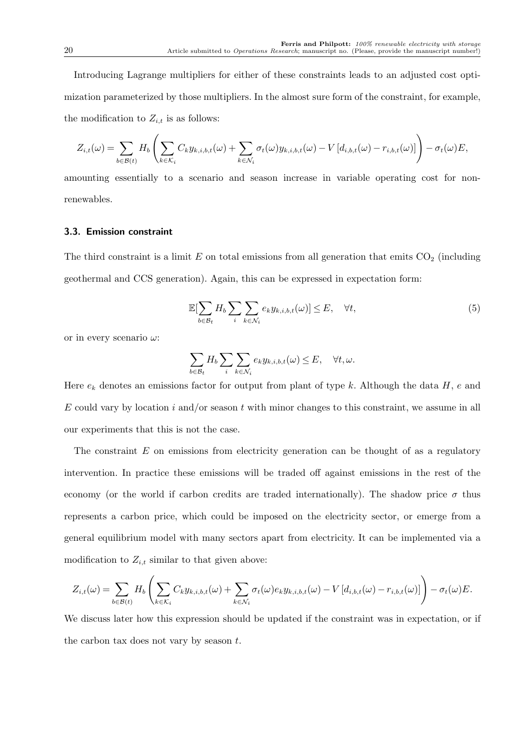Introducing Lagrange multipliers for either of these constraints leads to an adjusted cost optimization parameterized by those multipliers. In the almost sure form of the constraint, for example, the modification to  $Z_{i,t}$  is as follows:

$$
Z_{i,t}(\omega) = \sum_{b \in \mathcal{B}(t)} H_b \left( \sum_{k \in \mathcal{K}_i} C_k y_{k,i,b,t}(\omega) + \sum_{k \in \mathcal{N}_i} \sigma_t(\omega) y_{k,i,b,t}(\omega) - V \left[ d_{i,b,t}(\omega) - r_{i,b,t}(\omega) \right] \right) - \sigma_t(\omega) E,
$$

amounting essentially to a scenario and season increase in variable operating cost for nonrenewables.

#### 3.3. Emission constraint

The third constraint is a limit  $E$  on total emissions from all generation that emits  $CO<sub>2</sub>$  (including geothermal and CCS generation). Again, this can be expressed in expectation form:

$$
\mathbb{E}[\sum_{b \in \mathcal{B}_t} H_b \sum_i \sum_{k \in \mathcal{N}_i} e_k y_{k,i,b,t}(\omega)] \le E, \quad \forall t,
$$
\n(5)

or in every scenario  $\omega$ :

$$
\sum_{b\in\mathcal{B}_t}H_b\sum_i\sum_{k\in\mathcal{N}_i}e_ky_{k,i,b,t}(\omega)\leq E,\quad\forall t,\omega.
$$

Here  $e_k$  denotes an emissions factor for output from plant of type k. Although the data H, e and  $E$  could vary by location i and/or season t with minor changes to this constraint, we assume in all our experiments that this is not the case.

The constraint  $E$  on emissions from electricity generation can be thought of as a regulatory intervention. In practice these emissions will be traded off against emissions in the rest of the economy (or the world if carbon credits are traded internationally). The shadow price  $\sigma$  thus represents a carbon price, which could be imposed on the electricity sector, or emerge from a general equilibrium model with many sectors apart from electricity. It can be implemented via a modification to  $Z_{i,t}$  similar to that given above:

$$
Z_{i,t}(\omega) = \sum_{b \in \mathcal{B}(t)} H_b \left( \sum_{k \in \mathcal{K}_i} C_k y_{k,i,b,t}(\omega) + \sum_{k \in \mathcal{N}_i} \sigma_t(\omega) e_k y_{k,i,b,t}(\omega) - V \left[ d_{i,b,t}(\omega) - r_{i,b,t}(\omega) \right] \right) - \sigma_t(\omega) E.
$$

We discuss later how this expression should be updated if the constraint was in expectation, or if the carbon tax does not vary by season  $t$ .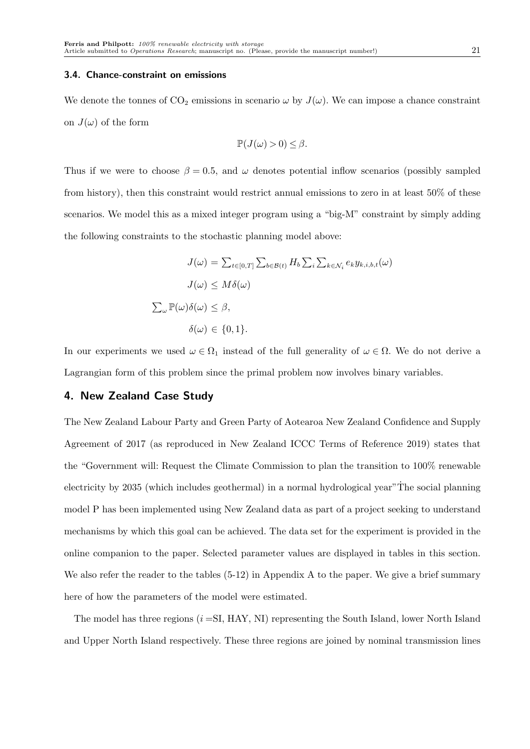#### 3.4. Chance-constraint on emissions

We denote the tonnes of  $CO_2$  emissions in scenario  $\omega$  by  $J(\omega)$ . We can impose a chance constraint on  $J(\omega)$  of the form

$$
\mathbb{P}(J(\omega) > 0) \leq \beta.
$$

Thus if we were to choose  $\beta = 0.5$ , and  $\omega$  denotes potential inflow scenarios (possibly sampled from history), then this constraint would restrict annual emissions to zero in at least 50% of these scenarios. We model this as a mixed integer program using a "big-M" constraint by simply adding the following constraints to the stochastic planning model above:

$$
J(\omega) = \sum_{t \in [0,T]} \sum_{b \in B(t)} H_b \sum_i \sum_{k \in \mathcal{N}_i} e_k y_{k,i,b,t}(\omega)
$$
  

$$
J(\omega) \leq M \delta(\omega)
$$
  

$$
\sum_{\omega} \mathbb{P}(\omega) \delta(\omega) \leq \beta,
$$
  

$$
\delta(\omega) \in \{0,1\}.
$$

In our experiments we used  $\omega \in \Omega_1$  instead of the full generality of  $\omega \in \Omega$ . We do not derive a Lagrangian form of this problem since the primal problem now involves binary variables.

## 4. New Zealand Case Study

The New Zealand Labour Party and Green Party of Aotearoa New Zealand Confidence and Supply Agreement of 2017 (as reproduced in New Zealand ICCC Terms of Reference 2019) states that the "Government will: Request the Climate Commission to plan the transition to 100% renewable electricity by  $2035$  (which includes geothermal) in a normal hydrological year"The social planning model P has been implemented using New Zealand data as part of a project seeking to understand mechanisms by which this goal can be achieved. The data set for the experiment is provided in the online companion to the paper. Selected parameter values are displayed in tables in this section. We also refer the reader to the tables  $(5-12)$  in Appendix A to the paper. We give a brief summary here of how the parameters of the model were estimated.

The model has three regions  $(i = SI, HAY, NI)$  representing the South Island, lower North Island and Upper North Island respectively. These three regions are joined by nominal transmission lines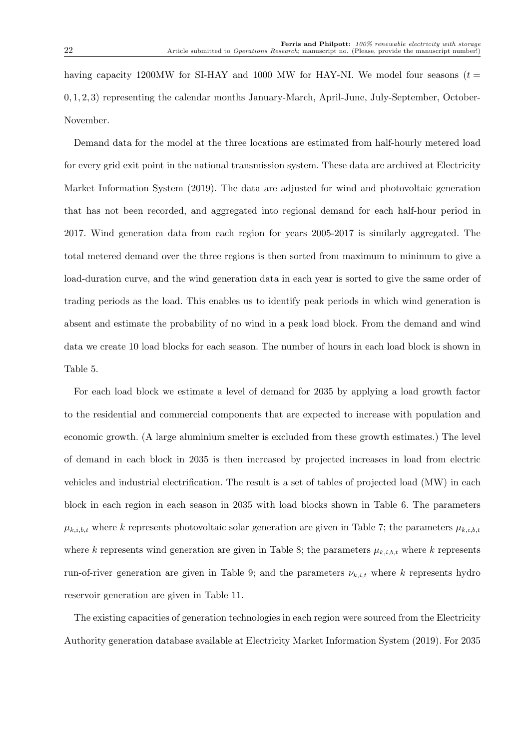having capacity 1200MW for SI-HAY and 1000 MW for HAY-NI. We model four seasons ( $t =$ 0, 1, 2, 3) representing the calendar months January-March, April-June, July-September, October-November.

Demand data for the model at the three locations are estimated from half-hourly metered load for every grid exit point in the national transmission system. These data are archived at Electricity Market Information System (2019). The data are adjusted for wind and photovoltaic generation that has not been recorded, and aggregated into regional demand for each half-hour period in 2017. Wind generation data from each region for years 2005-2017 is similarly aggregated. The total metered demand over the three regions is then sorted from maximum to minimum to give a load-duration curve, and the wind generation data in each year is sorted to give the same order of trading periods as the load. This enables us to identify peak periods in which wind generation is absent and estimate the probability of no wind in a peak load block. From the demand and wind data we create 10 load blocks for each season. The number of hours in each load block is shown in Table 5.

For each load block we estimate a level of demand for 2035 by applying a load growth factor to the residential and commercial components that are expected to increase with population and economic growth. (A large aluminium smelter is excluded from these growth estimates.) The level of demand in each block in 2035 is then increased by projected increases in load from electric vehicles and industrial electrification. The result is a set of tables of projected load (MW) in each block in each region in each season in 2035 with load blocks shown in Table 6. The parameters  $\mu_{k,i,b,t}$  where k represents photovoltaic solar generation are given in Table 7; the parameters  $\mu_{k,i,b,t}$ where k represents wind generation are given in Table 8; the parameters  $\mu_{k,i,b,t}$  where k represents run-of-river generation are given in Table 9; and the parameters  $\nu_{k,i,t}$  where k represents hydro reservoir generation are given in Table 11.

The existing capacities of generation technologies in each region were sourced from the Electricity Authority generation database available at Electricity Market Information System (2019). For 2035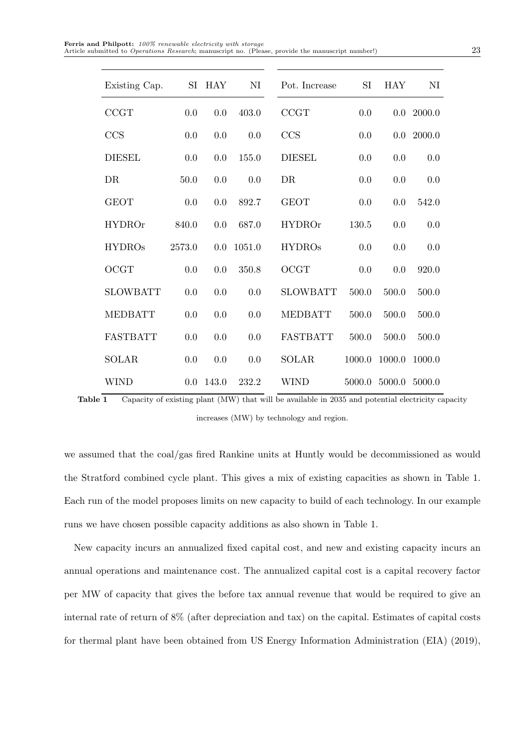| <b>Ferris and Philpott:</b> 100% renewable electricity with storage                                       |    |
|-----------------------------------------------------------------------------------------------------------|----|
| Article submitted to <i>Operations Research</i> ; manuscript no. (Please, provide the manuscript number!) | 23 |

| Existing Cap.   |        | SI HAY | NI     | Pot. Increase   | SI     | <b>HAY</b> | NI           |
|-----------------|--------|--------|--------|-----------------|--------|------------|--------------|
| CCGT            | 0.0    | 0.0    | 403.0  | CCGT            | 0.0    |            | $0.0$ 2000.0 |
| CCS             | 0.0    | 0.0    | 0.0    | CCS             | 0.0    |            | $0.0$ 2000.0 |
| <b>DIESEL</b>   | 0.0    | 0.0    | 155.0  | <b>DIESEL</b>   | 0.0    | 0.0        | 0.0          |
| DR              | 50.0   | 0.0    | 0.0    | DR              | 0.0    | 0.0        | 0.0          |
| <b>GEOT</b>     | 0.0    | 0.0    | 892.7  | <b>GEOT</b>     | 0.0    | 0.0        | 542.0        |
| <b>HYDROr</b>   | 840.0  | 0.0    | 687.0  | <b>HYDROr</b>   | 130.5  | 0.0        | 0.0          |
| <b>HYDROs</b>   | 2573.0 | 0.0    | 1051.0 | <b>HYDROs</b>   | 0.0    | 0.0        | 0.0          |
| OCGT            | 0.0    | 0.0    | 350.8  | <b>OCGT</b>     | 0.0    | 0.0        | 920.0        |
| <b>SLOWBATT</b> | 0.0    | 0.0    | 0.0    | <b>SLOWBATT</b> | 500.0  | 500.0      | 500.0        |
| <b>MEDBATT</b>  | 0.0    | 0.0    | 0.0    | <b>MEDBATT</b>  | 500.0  | 500.0      | 500.0        |
| <b>FASTBATT</b> | 0.0    | 0.0    | 0.0    | <b>FASTBATT</b> | 500.0  | 500.0      | 500.0        |
| <b>SOLAR</b>    | 0.0    | 0.0    | 0.0    | <b>SOLAR</b>    | 1000.0 | 1000.0     | 1000.0       |
| <b>WIND</b>     | 0.0    | 143.0  | 232.2  | <b>WIND</b>     | 5000.0 | 5000.0     | 5000.0       |
|                 |        |        |        |                 |        |            |              |

Table 1 Capacity of existing plant (MW) that will be available in 2035 and potential electricity capacity increases (MW) by technology and region.

we assumed that the coal/gas fired Rankine units at Huntly would be decommissioned as would the Stratford combined cycle plant. This gives a mix of existing capacities as shown in Table 1. Each run of the model proposes limits on new capacity to build of each technology. In our example runs we have chosen possible capacity additions as also shown in Table 1.

New capacity incurs an annualized fixed capital cost, and new and existing capacity incurs an annual operations and maintenance cost. The annualized capital cost is a capital recovery factor per MW of capacity that gives the before tax annual revenue that would be required to give an internal rate of return of 8% (after depreciation and tax) on the capital. Estimates of capital costs for thermal plant have been obtained from US Energy Information Administration (EIA) (2019),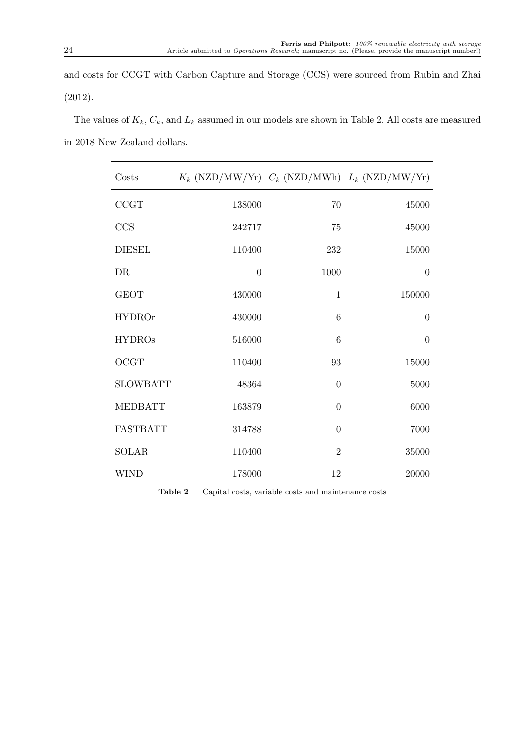and costs for CCGT with Carbon Capture and Storage (CCS) were sourced from Rubin and Zhai (2012).

The values of  $K_k$ ,  $C_k$ , and  $L_k$  assumed in our models are shown in Table 2. All costs are measured in 2018 New Zealand dollars.

| Costs           | $K_k$ (NZD/MW/Yr) $C_k$ (NZD/MWh) $L_k$ (NZD/MW/Yr) |                |                |
|-----------------|-----------------------------------------------------|----------------|----------------|
| CCGT            | 138000                                              | 70             | 45000          |
| CCS             | 242717                                              | 75             | 45000          |
| <b>DIESEL</b>   | 110400                                              | 232            | 15000          |
| DR              | $\overline{0}$                                      | 1000           | $\theta$       |
| <b>GEOT</b>     | 430000                                              | $\mathbf{1}$   | 150000         |
| <b>HYDROr</b>   | 430000                                              | $\,6\,$        | $\theta$       |
| <b>HYDROs</b>   | 516000                                              | 6              | $\overline{0}$ |
| OCGT            | 110400                                              | 93             | 15000          |
| <b>SLOWBATT</b> | 48364                                               | $\overline{0}$ | $5000\,$       |
| <b>MEDBATT</b>  | 163879                                              | $\overline{0}$ | 6000           |
| <b>FASTBATT</b> | 314788                                              | $\overline{0}$ | 7000           |
| SOLAR           | 110400                                              | $\overline{2}$ | $35000\,$      |
| <b>WIND</b>     | 178000                                              | 12             | 20000          |

Table 2 Capital costs, variable costs and maintenance costs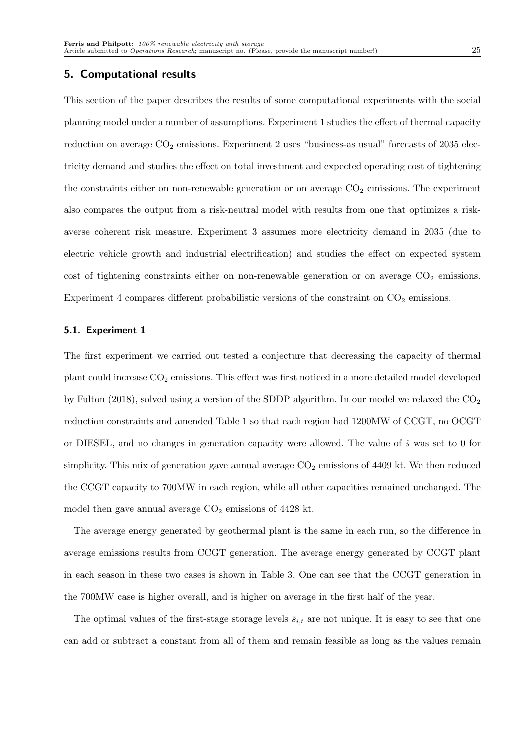#### 5. Computational results

This section of the paper describes the results of some computational experiments with the social planning model under a number of assumptions. Experiment 1 studies the effect of thermal capacity reduction on average  $CO_2$  emissions. Experiment 2 uses "business-as usual" forecasts of 2035 electricity demand and studies the effect on total investment and expected operating cost of tightening the constraints either on non-renewable generation or on average  $CO<sub>2</sub>$  emissions. The experiment also compares the output from a risk-neutral model with results from one that optimizes a riskaverse coherent risk measure. Experiment 3 assumes more electricity demand in 2035 (due to electric vehicle growth and industrial electrification) and studies the effect on expected system cost of tightening constraints either on non-renewable generation or on average  $CO<sub>2</sub>$  emissions. Experiment 4 compares different probabilistic versions of the constraint on  $CO<sub>2</sub>$  emissions.

#### 5.1. Experiment 1

The first experiment we carried out tested a conjecture that decreasing the capacity of thermal plant could increase  $CO_2$  emissions. This effect was first noticed in a more detailed model developed by Fulton (2018), solved using a version of the SDDP algorithm. In our model we relaxed the  $CO<sub>2</sub>$ reduction constraints and amended Table 1 so that each region had 1200MW of CCGT, no OCGT or DIESEL, and no changes in generation capacity were allowed. The value of  $\hat{s}$  was set to 0 for simplicity. This mix of generation gave annual average  $CO<sub>2</sub>$  emissions of 4409 kt. We then reduced the CCGT capacity to 700MW in each region, while all other capacities remained unchanged. The model then gave annual average  $CO<sub>2</sub>$  emissions of 4428 kt.

The average energy generated by geothermal plant is the same in each run, so the difference in average emissions results from CCGT generation. The average energy generated by CCGT plant in each season in these two cases is shown in Table 3. One can see that the CCGT generation in the 700MW case is higher overall, and is higher on average in the first half of the year.

The optimal values of the first-stage storage levels  $\bar{s}_{i,t}$  are not unique. It is easy to see that one can add or subtract a constant from all of them and remain feasible as long as the values remain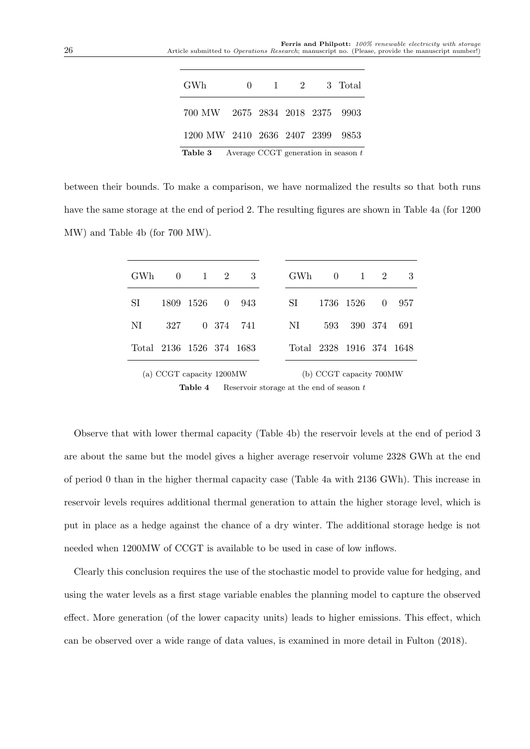| GWh                              | 0 |                          |  | 1 2 3 Total |
|----------------------------------|---|--------------------------|--|-------------|
| 700 MW 2675 2834 2018 2375 9903  |   |                          |  |             |
| 1200 MW 2410 2636 2407 2399 9853 |   |                          |  |             |
| m 11 o                           |   | $\alpha \alpha \alpha$ m |  |             |

**Table 3** Average CCGT generation in season  $t$ 

between their bounds. To make a comparison, we have normalized the results so that both runs have the same storage at the end of period 2. The resulting figures are shown in Table 4a (for 1200 MW) and Table 4b (for 700 MW).

| GWh                      |                          | $0 \t 1 \t 2 \t 3$ |           | GWh 0 1 2                |                         |                 | 3           |
|--------------------------|--------------------------|--------------------|-----------|--------------------------|-------------------------|-----------------|-------------|
| SI                       |                          | 1809 1526 0 943    |           | SI                       |                         | 1736 1526 0 957 |             |
| NL                       | 327                      |                    | 0 374 741 | NI                       | 593                     |                 | 390 374 691 |
| Total 2136 1526 374 1683 |                          |                    |           | Total 2328 1916 374 1648 |                         |                 |             |
|                          | (a) CCGT capacity 1200MW |                    |           |                          | (b) CCGT capacity 700MW |                 |             |

**Table 4** Reservoir storage at the end of season  $t$ 

Observe that with lower thermal capacity (Table 4b) the reservoir levels at the end of period 3 are about the same but the model gives a higher average reservoir volume 2328 GWh at the end of period 0 than in the higher thermal capacity case (Table 4a with 2136 GWh). This increase in reservoir levels requires additional thermal generation to attain the higher storage level, which is put in place as a hedge against the chance of a dry winter. The additional storage hedge is not needed when 1200MW of CCGT is available to be used in case of low inflows.

Clearly this conclusion requires the use of the stochastic model to provide value for hedging, and using the water levels as a first stage variable enables the planning model to capture the observed effect. More generation (of the lower capacity units) leads to higher emissions. This effect, which can be observed over a wide range of data values, is examined in more detail in Fulton (2018).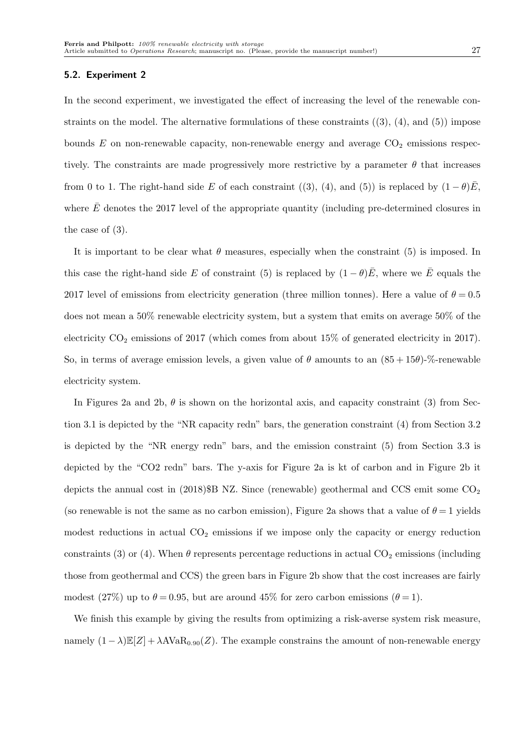#### 5.2. Experiment 2

In the second experiment, we investigated the effect of increasing the level of the renewable constraints on the model. The alternative formulations of these constraints  $((3), (4),$  and  $(5))$  impose bounds  $E$  on non-renewable capacity, non-renewable energy and average  $CO<sub>2</sub>$  emissions respectively. The constraints are made progressively more restrictive by a parameter  $\theta$  that increases from 0 to 1. The right-hand side E of each constraint ((3), (4), and (5)) is replaced by  $(1 - \theta)\bar{E}$ , where  $\bar{E}$  denotes the 2017 level of the appropriate quantity (including pre-determined closures in the case of (3).

It is important to be clear what  $\theta$  measures, especially when the constraint (5) is imposed. In this case the right-hand side E of constraint (5) is replaced by  $(1 - \theta)\bar{E}$ , where we  $\bar{E}$  equals the 2017 level of emissions from electricity generation (three million tonnes). Here a value of  $\theta = 0.5$ does not mean a 50% renewable electricity system, but a system that emits on average 50% of the electricity  $CO_2$  emissions of 2017 (which comes from about 15% of generated electricity in 2017). So, in terms of average emission levels, a given value of  $\theta$  amounts to an  $(85 + 15\theta)$ -%-renewable electricity system.

In Figures 2a and 2b,  $\theta$  is shown on the horizontal axis, and capacity constraint (3) from Section 3.1 is depicted by the "NR capacity redn" bars, the generation constraint (4) from Section 3.2 is depicted by the "NR energy redn" bars, and the emission constraint (5) from Section 3.3 is depicted by the "CO2 redn" bars. The y-axis for Figure 2a is kt of carbon and in Figure 2b it depicts the annual cost in  $(2018)$  SB NZ. Since (renewable) geothermal and CCS emit some CO<sub>2</sub> (so renewable is not the same as no carbon emission), Figure 2a shows that a value of  $\theta = 1$  yields modest reductions in actual  $CO<sub>2</sub>$  emissions if we impose only the capacity or energy reduction constraints (3) or (4). When  $\theta$  represents percentage reductions in actual CO<sub>2</sub> emissions (including those from geothermal and CCS) the green bars in Figure 2b show that the cost increases are fairly modest (27%) up to  $\theta = 0.95$ , but are around 45% for zero carbon emissions ( $\theta = 1$ ).

We finish this example by giving the results from optimizing a risk-averse system risk measure, namely  $(1 - \lambda) \mathbb{E}[Z] + \lambda \text{AVaR}_{0.90}(Z)$ . The example constrains the amount of non-renewable energy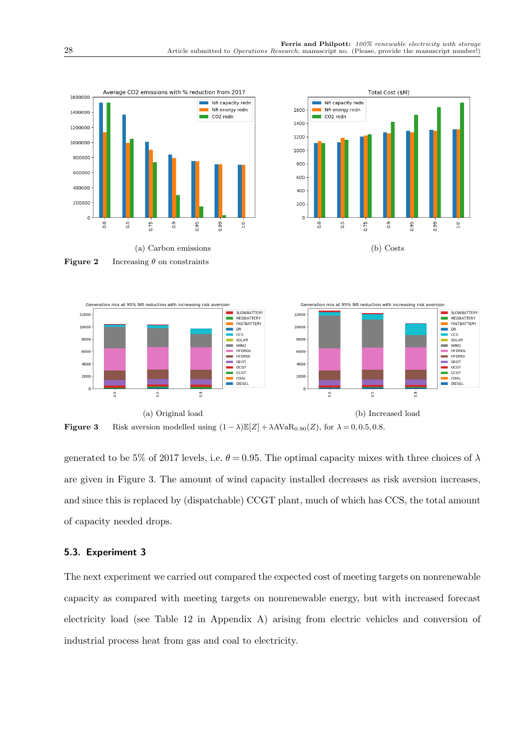

Figure 3 Risk aversion modelled using  $(1 - \lambda) \mathbb{E}[Z] + \lambda A \text{VaR}_{0.90}(Z)$ , for  $\lambda = 0, 0.5, 0.8$ .

generated to be 5% of 2017 levels, i.e.  $\theta = 0.95$ . The optimal capacity mixes with three choices of  $\lambda$ are given in Figure 3. The amount of wind capacity installed decreases as risk aversion increases, and since this is replaced by (dispatchable) CCGT plant, much of which has CCS, the total amount of capacity needed drops.

# 5.3. Experiment 3

The next experiment we carried out compared the expected cost of meeting targets on nonrenewable capacity as compared with meeting targets on nonrenewable energy, but with increased forecast electricity load (see Table 12 in Appendix A) arising from electric vehicles and conversion of industrial process heat from gas and coal to electricity.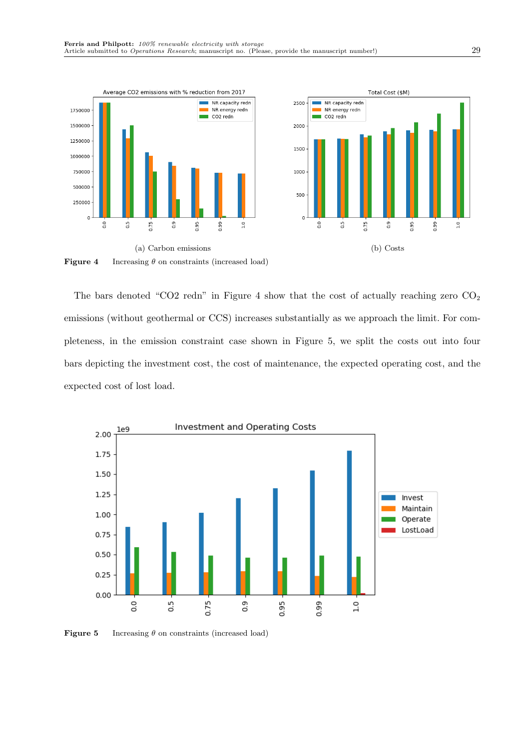

**Figure 4** Increasing  $\theta$  on constraints (increased load)

The bars denoted "CO2 redn" in Figure 4 show that the cost of actually reaching zero  $CO<sub>2</sub>$ emissions (without geothermal or CCS) increases substantially as we approach the limit. For completeness, in the emission constraint case shown in Figure 5, we split the costs out into four bars depicting the investment cost, the cost of maintenance, the expected operating cost, and the expected cost of lost load.



**Figure 5** Increasing  $\theta$  on constraints (increased load)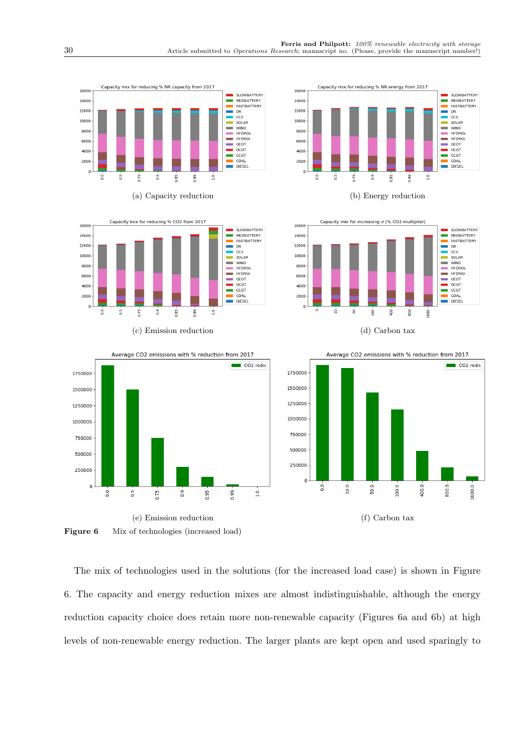







Average CO2 emissions with % reduction from 2017

 $0.9$ 

 $\Box$  CO2 redn

 $0.99 -$ 

0.95

 $\frac{1}{10}$ 

Capacity mix for reducing % NR energy from 2017









Figure 6 Mix of technologies (increased load)

0.75

The mix of technologies used in the solutions (for the increased load case) is shown in Figure 6. The capacity and energy reduction mixes are almost indistinguishable, although the energy reduction capacity choice does retain more non-renewable capacity (Figures 6a and 6b) at high levels of non-renewable energy reduction. The larger plants are kept open and used sparingly to

1750000

1500000

1250000

1000000

750000

500000

250000

 $\Omega$ 

 $\frac{0}{2}$ 

 $\overline{0.5}$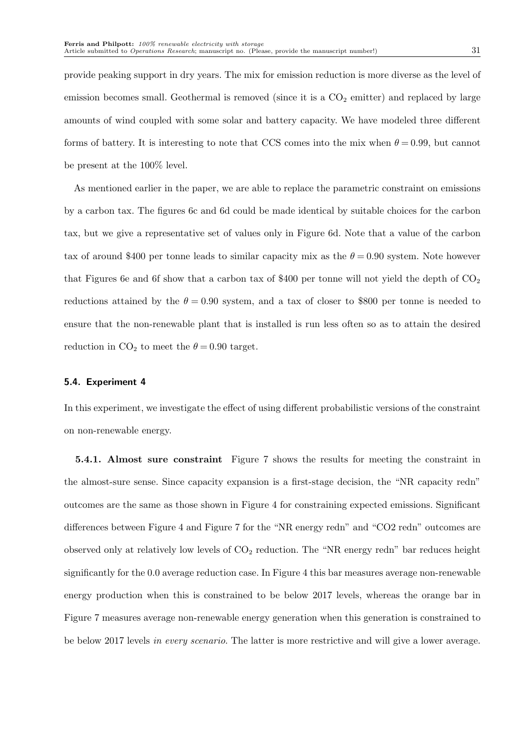provide peaking support in dry years. The mix for emission reduction is more diverse as the level of emission becomes small. Geothermal is removed (since it is a  $CO<sub>2</sub>$  emitter) and replaced by large amounts of wind coupled with some solar and battery capacity. We have modeled three different forms of battery. It is interesting to note that CCS comes into the mix when  $\theta = 0.99$ , but cannot be present at the 100% level.

As mentioned earlier in the paper, we are able to replace the parametric constraint on emissions by a carbon tax. The figures 6c and 6d could be made identical by suitable choices for the carbon tax, but we give a representative set of values only in Figure 6d. Note that a value of the carbon tax of around \$400 per tonne leads to similar capacity mix as the  $\theta = 0.90$  system. Note however that Figures 6e and 6f show that a carbon tax of \$400 per tonne will not yield the depth of  $CO<sub>2</sub>$ reductions attained by the  $\theta = 0.90$  system, and a tax of closer to \$800 per tonne is needed to ensure that the non-renewable plant that is installed is run less often so as to attain the desired reduction in  $CO<sub>2</sub>$  to meet the  $\theta = 0.90$  target.

#### 5.4. Experiment 4

In this experiment, we investigate the effect of using different probabilistic versions of the constraint on non-renewable energy.

5.4.1. Almost sure constraint Figure 7 shows the results for meeting the constraint in the almost-sure sense. Since capacity expansion is a first-stage decision, the "NR capacity redn" outcomes are the same as those shown in Figure 4 for constraining expected emissions. Significant differences between Figure 4 and Figure 7 for the "NR energy redn" and "CO2 redn" outcomes are observed only at relatively low levels of  $CO<sub>2</sub>$  reduction. The "NR energy redn" bar reduces height significantly for the 0.0 average reduction case. In Figure 4 this bar measures average non-renewable energy production when this is constrained to be below 2017 levels, whereas the orange bar in Figure 7 measures average non-renewable energy generation when this generation is constrained to be below 2017 levels in every scenario. The latter is more restrictive and will give a lower average.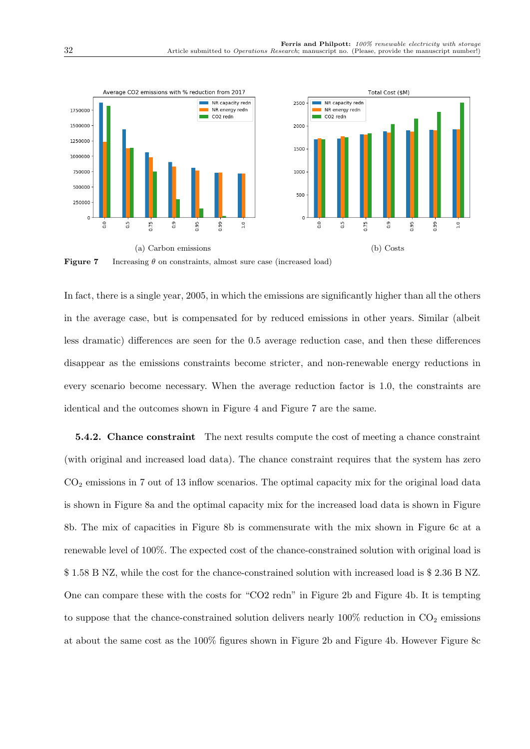

**Figure 7** Increasing  $\theta$  on constraints, almost sure case (increased load)

In fact, there is a single year, 2005, in which the emissions are significantly higher than all the others in the average case, but is compensated for by reduced emissions in other years. Similar (albeit less dramatic) differences are seen for the 0.5 average reduction case, and then these differences disappear as the emissions constraints become stricter, and non-renewable energy reductions in every scenario become necessary. When the average reduction factor is 1.0, the constraints are identical and the outcomes shown in Figure 4 and Figure 7 are the same.

5.4.2. Chance constraint The next results compute the cost of meeting a chance constraint (with original and increased load data). The chance constraint requires that the system has zero  $CO<sub>2</sub>$  emissions in 7 out of 13 inflow scenarios. The optimal capacity mix for the original load data is shown in Figure 8a and the optimal capacity mix for the increased load data is shown in Figure 8b. The mix of capacities in Figure 8b is commensurate with the mix shown in Figure 6c at a renewable level of 100%. The expected cost of the chance-constrained solution with original load is \$ 1.58 B NZ, while the cost for the chance-constrained solution with increased load is \$ 2.36 B NZ. One can compare these with the costs for "CO2 redn" in Figure 2b and Figure 4b. It is tempting to suppose that the chance-constrained solution delivers nearly  $100\%$  reduction in  $CO<sub>2</sub>$  emissions at about the same cost as the 100% figures shown in Figure 2b and Figure 4b. However Figure 8c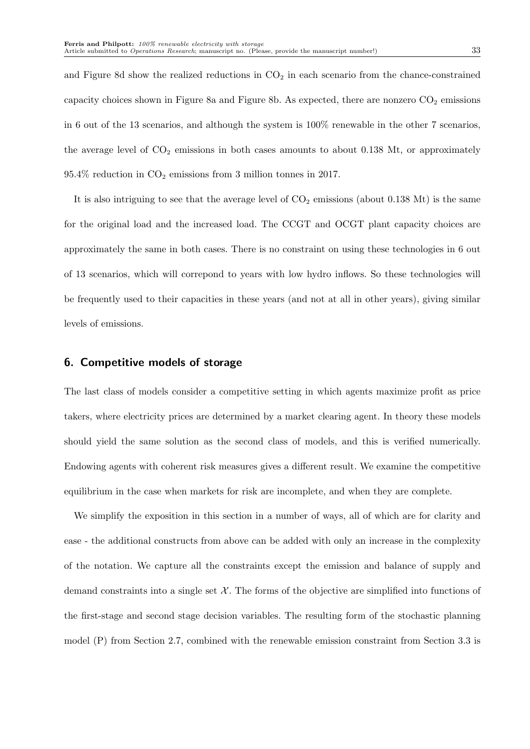and Figure 8d show the realized reductions in  $CO<sub>2</sub>$  in each scenario from the chance-constrained capacity choices shown in Figure 8a and Figure 8b. As expected, there are nonzero  $CO<sub>2</sub>$  emissions in 6 out of the 13 scenarios, and although the system is 100% renewable in the other 7 scenarios, the average level of  $CO<sub>2</sub>$  emissions in both cases amounts to about 0.138 Mt, or approximately  $95.4\%$  reduction in  $CO<sub>2</sub>$  emissions from 3 million tonnes in 2017.

It is also intriguing to see that the average level of  $CO<sub>2</sub>$  emissions (about 0.138 Mt) is the same for the original load and the increased load. The CCGT and OCGT plant capacity choices are approximately the same in both cases. There is no constraint on using these technologies in 6 out of 13 scenarios, which will correpond to years with low hydro inflows. So these technologies will be frequently used to their capacities in these years (and not at all in other years), giving similar levels of emissions.

#### 6. Competitive models of storage

The last class of models consider a competitive setting in which agents maximize profit as price takers, where electricity prices are determined by a market clearing agent. In theory these models should yield the same solution as the second class of models, and this is verified numerically. Endowing agents with coherent risk measures gives a different result. We examine the competitive equilibrium in the case when markets for risk are incomplete, and when they are complete.

We simplify the exposition in this section in a number of ways, all of which are for clarity and ease - the additional constructs from above can be added with only an increase in the complexity of the notation. We capture all the constraints except the emission and balance of supply and demand constraints into a single set  $\mathcal{X}$ . The forms of the objective are simplified into functions of the first-stage and second stage decision variables. The resulting form of the stochastic planning model (P) from Section 2.7, combined with the renewable emission constraint from Section 3.3 is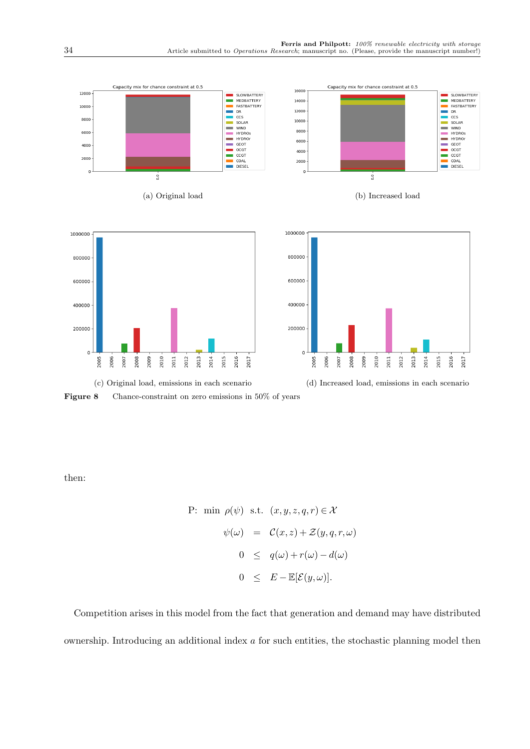

Figure 8 Chance-constraint on zero emissions in 50% of years

then:

P: min 
$$
\rho(\psi)
$$
 s.t.  $(x, y, z, q, r) \in \mathcal{X}$   
\n
$$
\psi(\omega) = C(x, z) + \mathcal{Z}(y, q, r, \omega)
$$
\n
$$
0 \leq q(\omega) + r(\omega) - d(\omega)
$$
\n
$$
0 \leq E - \mathbb{E}[\mathcal{E}(y, \omega)].
$$

Competition arises in this model from the fact that generation and demand may have distributed ownership. Introducing an additional index  $\alpha$  for such entities, the stochastic planning model then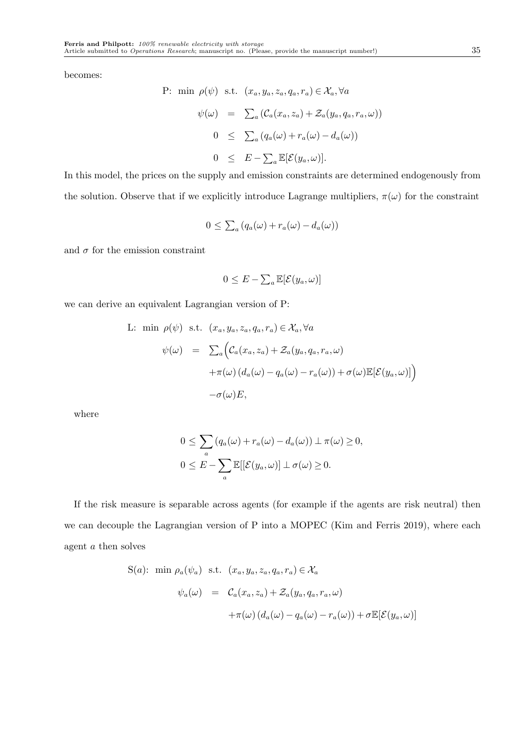becomes:

P: min 
$$
\rho(\psi)
$$
 s.t.  $(x_a, y_a, z_a, q_a, r_a) \in \mathcal{X}_a, \forall a$   
\n
$$
\psi(\omega) = \sum_a (\mathcal{C}_a(x_a, z_a) + \mathcal{Z}_a(y_a, q_a, r_a, \omega))
$$
\n
$$
0 \leq \sum_a (q_a(\omega) + r_a(\omega) - d_a(\omega))
$$
\n
$$
0 \leq E - \sum_a \mathbb{E}[\mathcal{E}(y_a, \omega)].
$$

In this model, the prices on the supply and emission constraints are determined endogenously from the solution. Observe that if we explicitly introduce Lagrange multipliers,  $\pi(\omega)$  for the constraint

$$
0 \leq \sum_{a} (q_a(\omega) + r_a(\omega) - d_a(\omega))
$$

and  $\sigma$  for the emission constraint

$$
0 \leq E - \sum_{a} \mathbb{E}[\mathcal{E}(y_a, \omega)]
$$

we can derive an equivalent Lagrangian version of P:

L: min 
$$
\rho(\psi)
$$
 s.t.  $(x_a, y_a, z_a, q_a, r_a) \in \mathcal{X}_a, \forall a$   
\n
$$
\psi(\omega) = \sum_a \Big( \mathcal{C}_a(x_a, z_a) + \mathcal{Z}_a(y_a, q_a, r_a, \omega) + \pi(\omega) (d_a(\omega) - q_a(\omega) - r_a(\omega)) + \sigma(\omega) \mathbb{E}[\mathcal{E}(y_a, \omega)] \Big) - \sigma(\omega) E,
$$

where

$$
0 \leq \sum_{a} (q_a(\omega) + r_a(\omega) - d_a(\omega)) \perp \pi(\omega) \geq 0,
$$
  

$$
0 \leq E - \sum_{a} \mathbb{E}[[\mathcal{E}(y_a, \omega)] \perp \sigma(\omega) \geq 0.
$$

If the risk measure is separable across agents (for example if the agents are risk neutral) then we can decouple the Lagrangian version of P into a MOPEC (Kim and Ferris 2019), where each agent a then solves

$$
S(a): \min \rho_a(\psi_a) \text{ s.t. } (x_a, y_a, z_a, q_a, r_a) \in \mathcal{X}_a
$$

$$
\psi_a(\omega) = C_a(x_a, z_a) + \mathcal{Z}_a(y_a, q_a, r_a, \omega)
$$

$$
+ \pi(\omega) (d_a(\omega) - q_a(\omega) - r_a(\omega)) + \sigma \mathbb{E}[\mathcal{E}(y_a, \omega)]
$$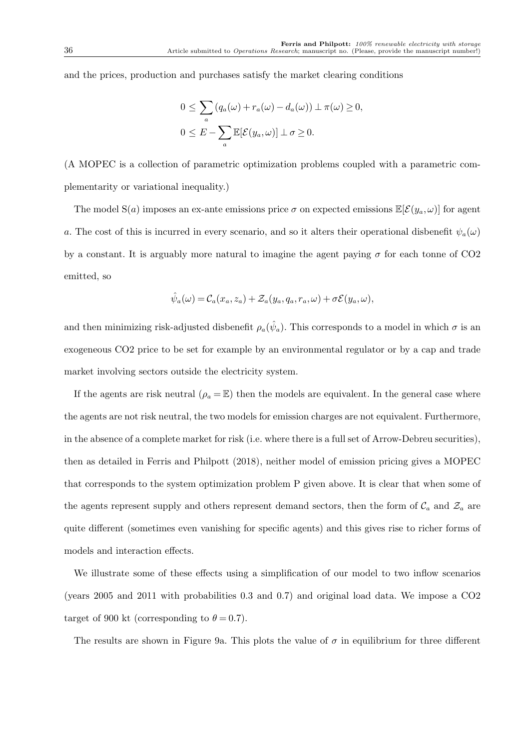and the prices, production and purchases satisfy the market clearing conditions

$$
0 \leq \sum_{a} (q_a(\omega) + r_a(\omega) - d_a(\omega)) \perp \pi(\omega) \geq 0,
$$
  

$$
0 \leq E - \sum_{a} \mathbb{E}[\mathcal{E}(y_a, \omega)] \perp \sigma \geq 0.
$$

(A MOPEC is a collection of parametric optimization problems coupled with a parametric complementarity or variational inequality.)

The model S(a) imposes an ex-ante emissions price  $\sigma$  on expected emissions  $\mathbb{E}[\mathcal{E}(y_a,\omega)]$  for agent a. The cost of this is incurred in every scenario, and so it alters their operational disbenefit  $\psi_a(\omega)$ by a constant. It is arguably more natural to imagine the agent paying  $\sigma$  for each tonne of CO2 emitted, so

$$
\hat{\psi}_a(\omega) = \mathcal{C}_a(x_a, z_a) + \mathcal{Z}_a(y_a, q_a, r_a, \omega) + \sigma \mathcal{E}(y_a, \omega),
$$

and then minimizing risk-adjusted disbenefit  $\rho_a(\hat{\psi}_a)$ . This corresponds to a model in which  $\sigma$  is an exogeneous CO2 price to be set for example by an environmental regulator or by a cap and trade market involving sectors outside the electricity system.

If the agents are risk neutral  $(\rho_a = \mathbb{E})$  then the models are equivalent. In the general case where the agents are not risk neutral, the two models for emission charges are not equivalent. Furthermore, in the absence of a complete market for risk (i.e. where there is a full set of Arrow-Debreu securities), then as detailed in Ferris and Philpott (2018), neither model of emission pricing gives a MOPEC that corresponds to the system optimization problem P given above. It is clear that when some of the agents represent supply and others represent demand sectors, then the form of  $\mathcal{C}_a$  and  $\mathcal{Z}_a$  are quite different (sometimes even vanishing for specific agents) and this gives rise to richer forms of models and interaction effects.

We illustrate some of these effects using a simplification of our model to two inflow scenarios (years 2005 and 2011 with probabilities 0.3 and 0.7) and original load data. We impose a CO2 target of 900 kt (corresponding to  $\theta = 0.7$ ).

The results are shown in Figure 9a. This plots the value of  $\sigma$  in equilibrium for three different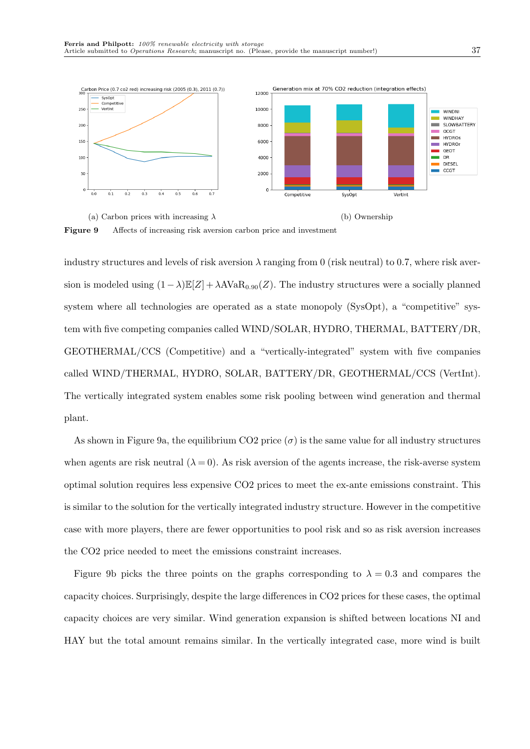

(a) Carbon prices with increasing  $\lambda$  (b) Ownership Figure 9 Affects of increasing risk aversion carbon price and investment

industry structures and levels of risk aversion  $\lambda$  ranging from 0 (risk neutral) to 0.7, where risk aversion is modeled using  $(1-\lambda)\mathbb{E}[Z] + \lambda A \text{VaR}_{0.90}(Z)$ . The industry structures were a socially planned system where all technologies are operated as a state monopoly (SysOpt), a "competitive" system with five competing companies called WIND/SOLAR, HYDRO, THERMAL, BATTERY/DR, GEOTHERMAL/CCS (Competitive) and a "vertically-integrated" system with five companies called WIND/THERMAL, HYDRO, SOLAR, BATTERY/DR, GEOTHERMAL/CCS (VertInt). The vertically integrated system enables some risk pooling between wind generation and thermal plant.

As shown in Figure 9a, the equilibrium CO2 price  $(\sigma)$  is the same value for all industry structures when agents are risk neutral  $(\lambda = 0)$ . As risk aversion of the agents increase, the risk-averse system optimal solution requires less expensive CO2 prices to meet the ex-ante emissions constraint. This is similar to the solution for the vertically integrated industry structure. However in the competitive case with more players, there are fewer opportunities to pool risk and so as risk aversion increases the CO2 price needed to meet the emissions constraint increases.

Figure 9b picks the three points on the graphs corresponding to  $\lambda = 0.3$  and compares the capacity choices. Surprisingly, despite the large differences in CO2 prices for these cases, the optimal capacity choices are very similar. Wind generation expansion is shifted between locations NI and HAY but the total amount remains similar. In the vertically integrated case, more wind is built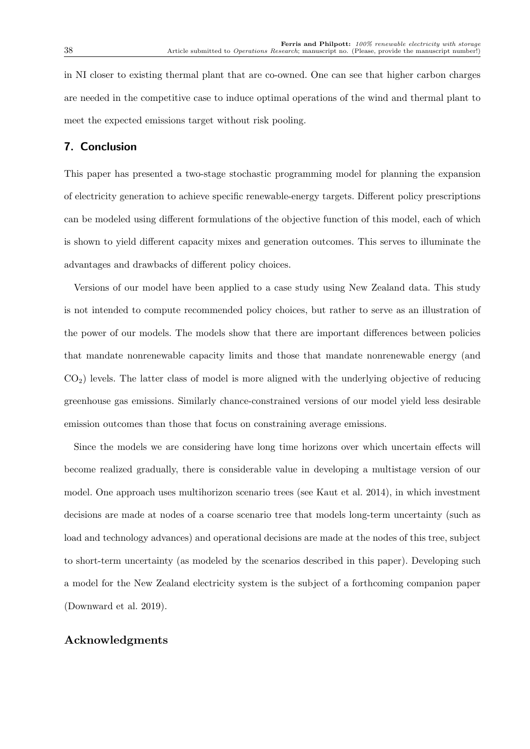in NI closer to existing thermal plant that are co-owned. One can see that higher carbon charges are needed in the competitive case to induce optimal operations of the wind and thermal plant to meet the expected emissions target without risk pooling.

# 7. Conclusion

This paper has presented a two-stage stochastic programming model for planning the expansion of electricity generation to achieve specific renewable-energy targets. Different policy prescriptions can be modeled using different formulations of the objective function of this model, each of which is shown to yield different capacity mixes and generation outcomes. This serves to illuminate the advantages and drawbacks of different policy choices.

Versions of our model have been applied to a case study using New Zealand data. This study is not intended to compute recommended policy choices, but rather to serve as an illustration of the power of our models. The models show that there are important differences between policies that mandate nonrenewable capacity limits and those that mandate nonrenewable energy (and  $CO<sub>2</sub>$ ) levels. The latter class of model is more aligned with the underlying objective of reducing greenhouse gas emissions. Similarly chance-constrained versions of our model yield less desirable emission outcomes than those that focus on constraining average emissions.

Since the models we are considering have long time horizons over which uncertain effects will become realized gradually, there is considerable value in developing a multistage version of our model. One approach uses multihorizon scenario trees (see Kaut et al. 2014), in which investment decisions are made at nodes of a coarse scenario tree that models long-term uncertainty (such as load and technology advances) and operational decisions are made at the nodes of this tree, subject to short-term uncertainty (as modeled by the scenarios described in this paper). Developing such a model for the New Zealand electricity system is the subject of a forthcoming companion paper (Downward et al. 2019).

## Acknowledgments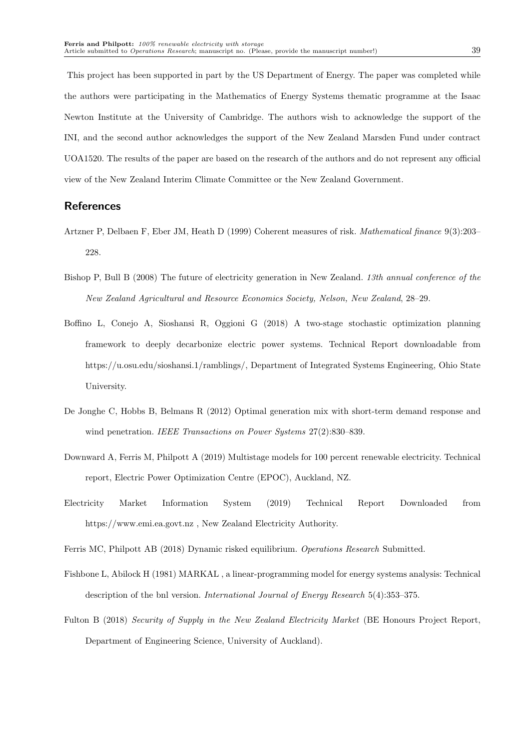This project has been supported in part by the US Department of Energy. The paper was completed while the authors were participating in the Mathematics of Energy Systems thematic programme at the Isaac Newton Institute at the University of Cambridge. The authors wish to acknowledge the support of the INI, and the second author acknowledges the support of the New Zealand Marsden Fund under contract UOA1520. The results of the paper are based on the research of the authors and do not represent any official view of the New Zealand Interim Climate Committee or the New Zealand Government.

## References

- Artzner P, Delbaen F, Eber JM, Heath D (1999) Coherent measures of risk. Mathematical finance 9(3):203– 228.
- Bishop P, Bull B (2008) The future of electricity generation in New Zealand. 13th annual conference of the New Zealand Agricultural and Resource Economics Society, Nelson, New Zealand, 28–29.
- Boffino L, Conejo A, Sioshansi R, Oggioni G (2018) A two-stage stochastic optimization planning framework to deeply decarbonize electric power systems. Technical Report downloadable from https://u.osu.edu/sioshansi.1/ramblings/, Department of Integrated Systems Engineering, Ohio State University.
- De Jonghe C, Hobbs B, Belmans R (2012) Optimal generation mix with short-term demand response and wind penetration. IEEE Transactions on Power Systems 27(2):830-839.
- Downward A, Ferris M, Philpott A (2019) Multistage models for 100 percent renewable electricity. Technical report, Electric Power Optimization Centre (EPOC), Auckland, NZ.
- Electricity Market Information System (2019) Technical Report Downloaded from https://www.emi.ea.govt.nz , New Zealand Electricity Authority.
- Ferris MC, Philpott AB (2018) Dynamic risked equilibrium. Operations Research Submitted.
- Fishbone L, Abilock H (1981) MARKAL , a linear-programming model for energy systems analysis: Technical description of the bnl version. International Journal of Energy Research 5(4):353–375.
- Fulton B (2018) Security of Supply in the New Zealand Electricity Market (BE Honours Project Report, Department of Engineering Science, University of Auckland).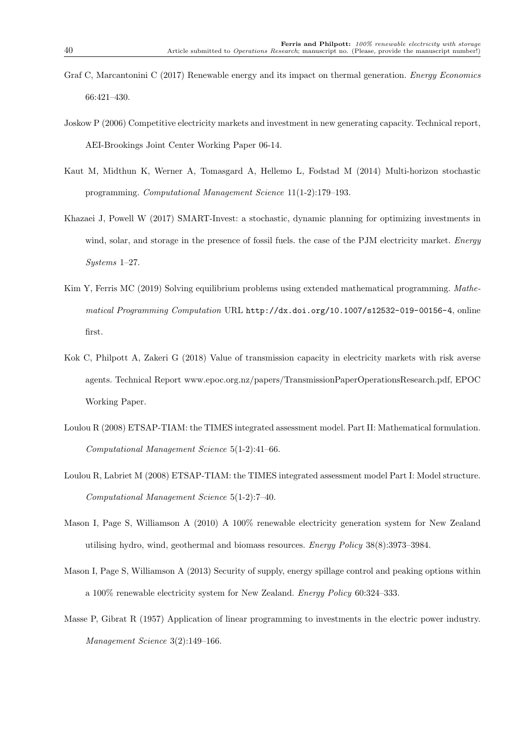- Graf C, Marcantonini C (2017) Renewable energy and its impact on thermal generation. *Energy Economics* 66:421–430.
- Joskow P (2006) Competitive electricity markets and investment in new generating capacity. Technical report, AEI-Brookings Joint Center Working Paper 06-14.
- Kaut M, Midthun K, Werner A, Tomasgard A, Hellemo L, Fodstad M (2014) Multi-horizon stochastic programming. Computational Management Science 11(1-2):179–193.
- Khazaei J, Powell W (2017) SMART-Invest: a stochastic, dynamic planning for optimizing investments in wind, solar, and storage in the presence of fossil fuels. the case of the PJM electricity market. Energy Systems 1–27.
- Kim Y, Ferris MC (2019) Solving equilibrium problems using extended mathematical programming. Mathematical Programming Computation URL http://dx.doi.org/10.1007/s12532-019-00156-4, online first.
- Kok C, Philpott A, Zakeri G (2018) Value of transmission capacity in electricity markets with risk averse agents. Technical Report www.epoc.org.nz/papers/TransmissionPaperOperationsResearch.pdf, EPOC Working Paper.
- Loulou R (2008) ETSAP-TIAM: the TIMES integrated assessment model. Part II: Mathematical formulation. Computational Management Science 5(1-2):41–66.
- Loulou R, Labriet M (2008) ETSAP-TIAM: the TIMES integrated assessment model Part I: Model structure. Computational Management Science 5(1-2):7–40.
- Mason I, Page S, Williamson A (2010) A 100% renewable electricity generation system for New Zealand utilising hydro, wind, geothermal and biomass resources. Energy Policy 38(8):3973–3984.
- Mason I, Page S, Williamson A (2013) Security of supply, energy spillage control and peaking options within a 100% renewable electricity system for New Zealand. Energy Policy 60:324–333.
- Masse P, Gibrat R (1957) Application of linear programming to investments in the electric power industry. Management Science 3(2):149–166.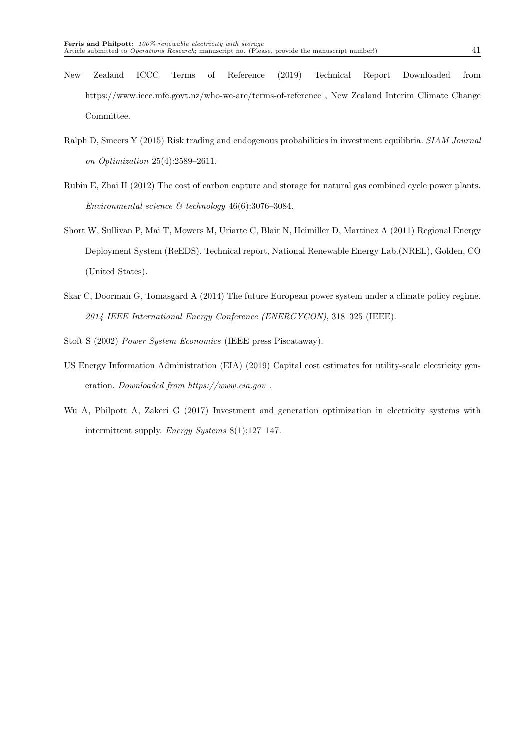Committee.

- Ralph D, Smeers Y (2015) Risk trading and endogenous probabilities in investment equilibria. SIAM Journal on Optimization 25(4):2589–2611.
- Rubin E, Zhai H (2012) The cost of carbon capture and storage for natural gas combined cycle power plants. Environmental science  $\mathcal C$  technology 46(6):3076-3084.
- Short W, Sullivan P, Mai T, Mowers M, Uriarte C, Blair N, Heimiller D, Martinez A (2011) Regional Energy Deployment System (ReEDS). Technical report, National Renewable Energy Lab.(NREL), Golden, CO (United States).
- Skar C, Doorman G, Tomasgard A (2014) The future European power system under a climate policy regime. 2014 IEEE International Energy Conference (ENERGYCON), 318–325 (IEEE).
- Stoft S (2002) Power System Economics (IEEE press Piscataway).
- US Energy Information Administration (EIA) (2019) Capital cost estimates for utility-scale electricity generation. Downloaded from https://www.eia.gov .
- Wu A, Philpott A, Zakeri G (2017) Investment and generation optimization in electricity systems with intermittent supply. Energy Systems 8(1):127–147.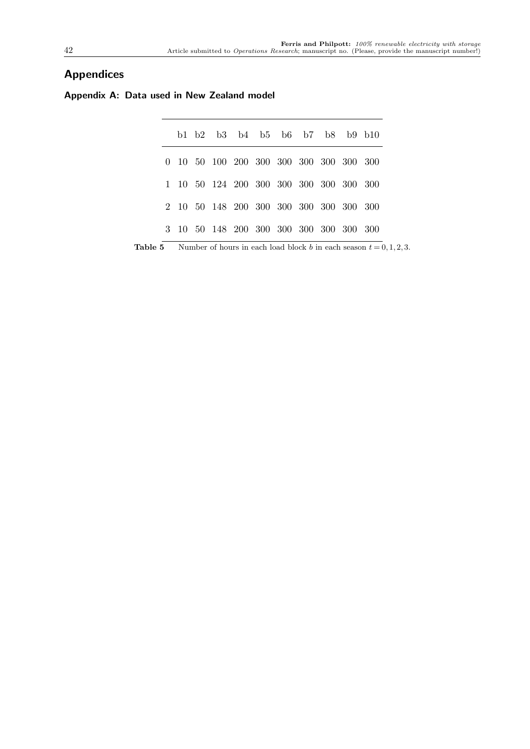# **Appendices**

| Appendix A: Data used in New Zealand model |  |  |  |  |  |
|--------------------------------------------|--|--|--|--|--|
|--------------------------------------------|--|--|--|--|--|

|  | b1 b2 b3 b4 b5 b6 b7 b8 b9 b10              |  |  |  |  |
|--|---------------------------------------------|--|--|--|--|
|  | 0 10 50 100 200 300 300 300 300 300 300 300 |  |  |  |  |
|  | 1 10 50 124 200 300 300 300 300 300 300 300 |  |  |  |  |
|  | 2 10 50 148 200 300 300 300 300 300 300 300 |  |  |  |  |
|  | 3 10 50 148 200 300 300 300 300 300 300 300 |  |  |  |  |

**Table 5** Number of hours in each load block b in each season  $t = 0, 1, 2, 3$ .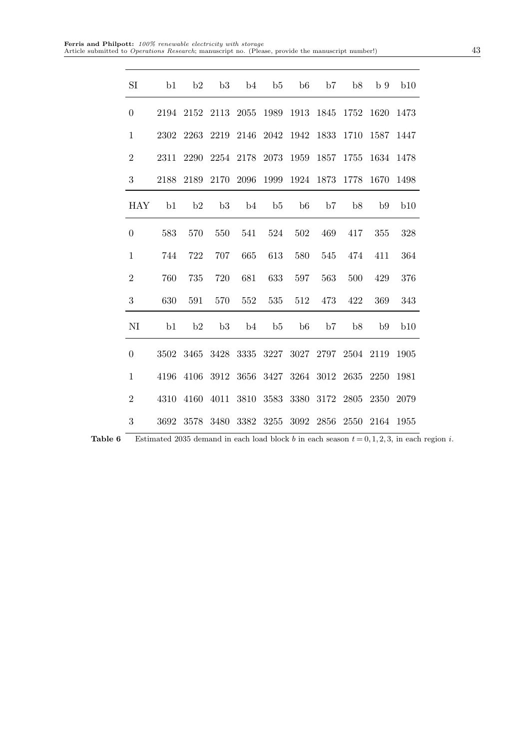| SI               | b1   | b2   | b3        | b <sub>4</sub> | b5   | b6                  | b7   | b <sub>8</sub> | b 9       | b10  |
|------------------|------|------|-----------|----------------|------|---------------------|------|----------------|-----------|------|
| $\overline{0}$   | 2194 | 2152 | 2113      | 2055           | 1989 | 1913                | 1845 | 1752           | 1620      | 1473 |
| $\mathbf{1}$     | 2302 | 2263 | 2219      | 2146           | 2042 | 1942                | 1833 | 1710           | 1587      | 1447 |
| $\sqrt{2}$       | 2311 | 2290 | 2254      | 2178           | 2073 | 1959                | 1857 | 1755           | 1634      | 1478 |
| $\boldsymbol{3}$ | 2188 | 2189 | 2170      | 2096           | 1999 | 1924                | 1873 | 1778           | 1670      | 1498 |
| <b>HAY</b>       | b1   | b2   | b3        | b <sub>4</sub> | b5   | b6                  | b7   | b <sub>8</sub> | b9        | b10  |
| $\overline{0}$   | 583  | 570  | 550       | 541            | 524  | 502                 | 469  | 417            | 355       | 328  |
| $\mathbf{1}$     | 744  | 722  | 707       | 665            | 613  | 580                 | 545  | 474            | 411       | 364  |
| $\sqrt{2}$       | 760  | 735  | 720       | 681            | 633  | 597                 | 563  | 500            | 429       | 376  |
| $\sqrt{3}$       | 630  | 591  | 570       | 552            | 535  | 512                 | 473  | 422            | 369       | 343  |
| NI               | b1   | b2   | b3        | b <sub>4</sub> | b5   | b6                  | b7   | b <sub>8</sub> | b9        | b10  |
| $\boldsymbol{0}$ | 3502 | 3465 | 3428      | 3335           | 3227 | 3027 2797           |      | 2504           | 2119      | 1905 |
| $\,1$            | 4196 |      | 4106 3912 |                |      | 3656 3427 3264 3012 |      | 2635           | 2250      | 1981 |
| $\overline{2}$   | 4310 | 4160 | 4011      |                |      | 3810 3583 3380      | 3172 | 2805           | 2350      | 2079 |
| 3                | 3692 | 3578 | 3480      | 3382           | 3255 | 3092                | 2856 | 2550           | 2164 1955 |      |

**Table 6** Estimated 2035 demand in each load block b in each season  $t = 0, 1, 2, 3$ , in each region i.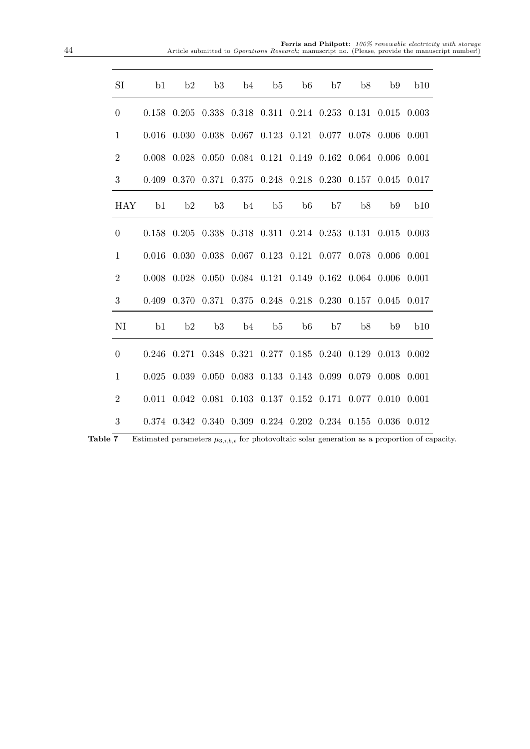**Ferris and Philpott:** 100% renewable electricity with storage<br>Article submitted to Operations Research; manuscript no. (Please, provide the manuscript number!)

| SI               | b1    | b2 | b3 | $b4$ $b5$ |                   | b6 b7 b8 | b9                                                                                                                  | b10 |
|------------------|-------|----|----|-----------|-------------------|----------|---------------------------------------------------------------------------------------------------------------------|-----|
| $\overline{0}$   |       |    |    |           |                   |          | $0.158$ $0.205$ $0.338$ $0.318$ $0.311$ $0.214$ $0.253$ $0.131$ $0.015$ $0.003$                                     |     |
| $\mathbf{1}$     |       |    |    |           |                   |          | $0.016$ $0.030$ $0.038$ $0.067$ $0.123$ $0.121$ $0.077$ $0.078$ $0.006$ $0.001$                                     |     |
| $\overline{2}$   | 0.008 |    |    |           |                   |          | $0.028$ $0.050$ $0.084$ $0.121$ $0.149$ $0.162$ $0.064$ $0.006$ $0.001$                                             |     |
| 3                | 0.409 |    |    |           |                   |          | 0.370 0.371 0.375 0.248 0.218 0.230 0.157 0.045 0.017                                                               |     |
| <b>HAY</b>       | b1    | b2 | b3 |           | b4 b5 b6 b7 b8    |          | b9                                                                                                                  | b10 |
| $\boldsymbol{0}$ |       |    |    |           |                   |          | $0.158$ $0.205$ $0.338$ $0.318$ $0.311$ $0.214$ $0.253$ $0.131$ $0.015$ $0.003$                                     |     |
| $\mathbf{1}$     | 0.016 |    |    |           |                   |          | $0.030$ $0.038$ $0.067$ $0.123$ $0.121$ $0.077$ $0.078$ $0.006$ $0.001$                                             |     |
| $\overline{2}$   |       |    |    |           |                   |          | $0.008$ $0.028$ $0.050$ $0.084$ $0.121$ $0.149$ $0.162$ $0.064$ $0.006$ $0.001$                                     |     |
| 3                | 0.409 |    |    |           |                   |          | 0.370 0.371 0.375 0.248 0.218 0.230 0.157 0.045 0.017                                                               |     |
| NI               | b1    | b2 |    |           | b3 b4 b5 b6 b7 b8 |          | <b>b9</b>                                                                                                           | b10 |
| $\overline{0}$   |       |    |    |           |                   |          | $0.246 \quad 0.271 \quad 0.348 \quad 0.321 \quad 0.277 \quad 0.185 \quad 0.240 \quad 0.129 \quad 0.013 \quad 0.002$ |     |
| $\mathbf{1}$     |       |    |    |           |                   |          | $0.025$ $0.039$ $0.050$ $0.083$ $0.133$ $0.143$ $0.099$ $0.079$ $0.008$ $0.001$                                     |     |
| $\overline{2}$   | 0.011 |    |    |           |                   |          | $0.042$ $0.081$ $0.103$ $0.137$ $0.152$ $0.171$ $0.077$ $0.010$ $0.001$                                             |     |
| 3                |       |    |    |           |                   |          | 0.374 0.342 0.340 0.309 0.224 0.202 0.234 0.155 0.036 0.012                                                         |     |

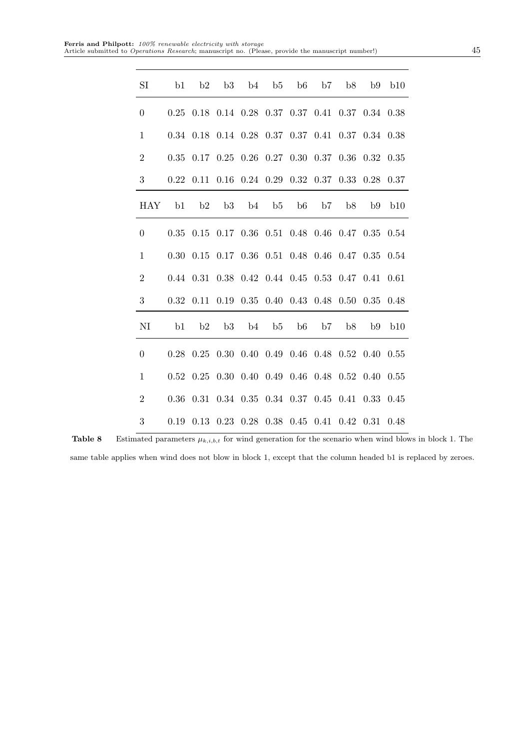| SI               | b <sub>1</sub> | b2                                                                    | b3                                 |    | $b4$ $b5$ $b6$ |    | b7        | b8 | b9   | b10  |
|------------------|----------------|-----------------------------------------------------------------------|------------------------------------|----|----------------|----|-----------|----|------|------|
| $\theta$         |                | 0.25 0.18 0.14 0.28 0.37 0.37 0.41 0.37 0.34 0.38                     |                                    |    |                |    |           |    |      |      |
| $\mathbf{1}$     |                | 0.34 0.18 0.14 0.28 0.37 0.37 0.41 0.37 0.34 0.38                     |                                    |    |                |    |           |    |      |      |
| $\sqrt{2}$       |                | $0.35$ $0.17$ $0.25$ $0.26$ $0.27$ $0.30$ $0.37$ $0.36$ $0.32$ $0.35$ |                                    |    |                |    |           |    |      |      |
| 3                |                | 0.22 0.11 0.16 0.24 0.29 0.32 0.37 0.33 0.28 0.37                     |                                    |    |                |    |           |    |      |      |
| <b>HAY</b>       | b1             | b2                                                                    | b3                                 | b4 | b5             | b6 | <b>b7</b> | b8 | b9   | b10  |
| $\theta$         |                | 0.35 0.15 0.17 0.36 0.51 0.48 0.46 0.47 0.35 0.54                     |                                    |    |                |    |           |    |      |      |
| $\mathbf{1}$     | 0.30           | 0.15 0.17 0.36 0.51 0.48 0.46 0.47 0.35 0.54                          |                                    |    |                |    |           |    |      |      |
| $\boldsymbol{2}$ |                | 0.44 0.31 0.38 0.42 0.44 0.45 0.53 0.47 0.41 0.61                     |                                    |    |                |    |           |    |      |      |
| $\boldsymbol{3}$ | 0.32           | 0.11 0.19 0.35 0.40 0.43 0.48 0.50 0.35 0.48                          |                                    |    |                |    |           |    |      |      |
| NI               | b1             | b2                                                                    | b3                                 |    | $b4$ $b5$ $b6$ |    | b7        | b8 | b9   | b10  |
| $\boldsymbol{0}$ |                | $0.28$ $0.25$ $0.30$ $0.40$ $0.49$ $0.46$ $0.48$ $0.52$ $0.40$ $0.55$ |                                    |    |                |    |           |    |      |      |
| $\mathbf{1}$     |                | 0.52 0.25 0.30 0.40 0.49 0.46 0.48 0.52 0.40 0.55                     |                                    |    |                |    |           |    |      |      |
| $\boldsymbol{2}$ |                | 0.36 0.31 0.34 0.35 0.34 0.37 0.45 0.41 0.33 0.45                     |                                    |    |                |    |           |    |      |      |
| $\boldsymbol{3}$ | 0.19           |                                                                       | 0.13 0.23 0.28 0.38 0.45 0.41 0.42 |    |                |    |           |    | 0.31 | 0.48 |

**Table 8** Estimated parameters  $\mu_{k,i,b,t}$  for wind generation for the scenario when wind blows in block 1. The same table applies when wind does not blow in block 1, except that the column headed b1 is replaced by zeroes.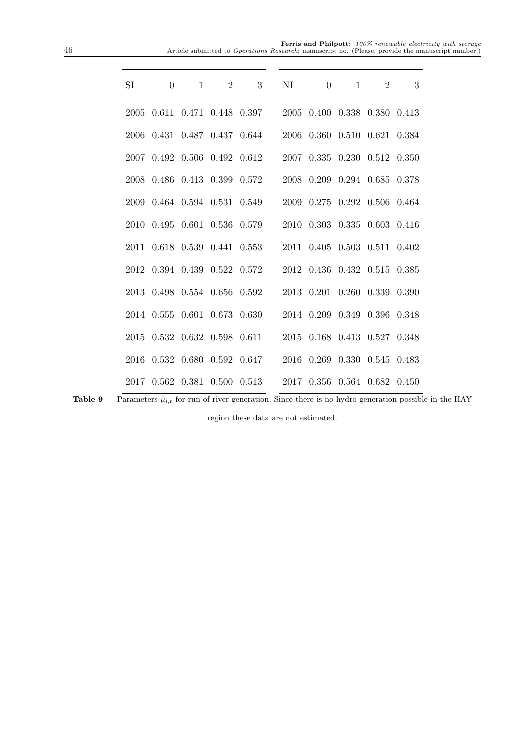# **Ferris and Philpott:** 100% renewable electricity with storage<br>Article submitted to Operations Research; manuscript no. (Please, provide the manuscript number!)

| SI | $\theta$ | $\begin{array}{ccc} & 1 \end{array}$ | 2 3 NI 0 1 2                                                                                                       |  |  | 3 |
|----|----------|--------------------------------------|--------------------------------------------------------------------------------------------------------------------|--|--|---|
|    |          |                                      | 2005 0.611 0.471 0.448 0.397 2005 0.400 0.338 0.380 0.413                                                          |  |  |   |
|    |          |                                      | 2006 0.431 0.487 0.437 0.644 2006 0.360 0.510 0.621 0.384                                                          |  |  |   |
|    |          |                                      | 2007 0.492 0.506 0.492 0.612 2007 0.335 0.230 0.512 0.350                                                          |  |  |   |
|    |          |                                      | $2008\  \  0.486\  \  0.413\  \  0.399\  \  0.572\qquad \  2008\  \  0.209\  \  0.294\  \  0.685\  \  0.378$       |  |  |   |
|    |          |                                      | 2009 0.464 0.594 0.531 0.549 2009 0.275 0.292 0.506 0.464                                                          |  |  |   |
|    |          |                                      | 2010 0.495 0.601 0.536 0.579 2010 0.303 0.335 0.603 0.416                                                          |  |  |   |
|    |          |                                      | $2011 \quad 0.618 \quad 0.539 \quad 0.441 \quad 0.553 \qquad 2011 \quad 0.405 \quad 0.503 \quad 0.511 \quad 0.402$ |  |  |   |
|    |          |                                      | 2012 0.394 0.439 0.522 0.572 2012 0.436 0.432 0.515 0.385                                                          |  |  |   |
|    |          |                                      | 2013 0.498 0.554 0.656 0.592 2013 0.201 0.260 0.339 0.390                                                          |  |  |   |
|    |          |                                      | 2014 0.555 0.601 0.673 0.630 2014 0.209 0.349 0.396 0.348                                                          |  |  |   |
|    |          |                                      | 2015 0.532 0.632 0.598 0.611 2015 0.168 0.413 0.527 0.348                                                          |  |  |   |
|    |          |                                      | 2016 0.532 0.680 0.592 0.647 2016 0.269 0.330 0.545 0.483                                                          |  |  |   |
|    |          |                                      | $2017\ \ 0.562\ \ 0.381\ \ 0.500\ \ 0.513\qquad 2017\ \ 0.356\ \ 0.564\ \ 0.682\ \ 0.450$                          |  |  |   |

**Table 9** Parameters  $\hat{\mu}_{i,t}$  for run-of-river generation. Since there is no hydro generation possible in the HAY

region these data are not estimated.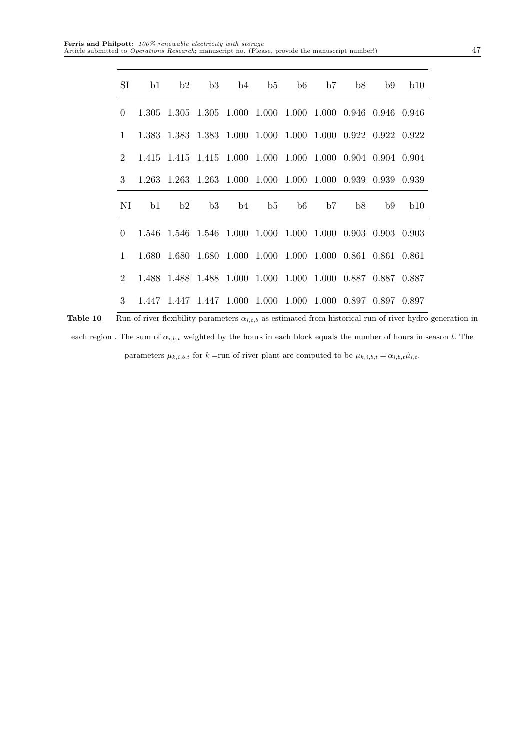|                | SI b1 b2 b3 b4 b5 b6 b7 b8 b9 b10                               |  |                                                             |  |  |                                   |  |
|----------------|-----------------------------------------------------------------|--|-------------------------------------------------------------|--|--|-----------------------------------|--|
| $\overline{0}$ |                                                                 |  | 1.305 1.305 1.305 1.000 1.000 1.000 1.000 0.946 0.946 0.946 |  |  |                                   |  |
| $\mathbf{1}$   |                                                                 |  | 1.383 1.383 1.383 1.000 1.000 1.000 1.000 0.922 0.922 0.922 |  |  |                                   |  |
| $2^{\circ}$    |                                                                 |  | 1.415 1.415 1.415 1.000 1.000 1.000 1.000 0.904 0.904 0.904 |  |  |                                   |  |
|                | 3 1.263 1.263 1.263 1.000 1.000 1.000 1.000 0.939 0.939 0.939   |  |                                                             |  |  |                                   |  |
|                |                                                                 |  |                                                             |  |  |                                   |  |
|                |                                                                 |  |                                                             |  |  | NI b1 b2 b3 b4 b5 b6 b7 b8 b9 b10 |  |
|                | $0$ 1.546 1.546 1.546 1.000 1.000 1.000 1.000 0.903 0.903 0.903 |  |                                                             |  |  |                                   |  |
| $\mathbf{1}$   |                                                                 |  | 1.680 1.680 1.680 1.000 1.000 1.000 1.000 0.861 0.861 0.861 |  |  |                                   |  |
| $2^{\circ}$    |                                                                 |  | 1.488 1.488 1.488 1.000 1.000 1.000 1.000 0.887 0.887 0.887 |  |  |                                   |  |

Table 10 Run-of-river flexibility parameters  $\alpha_{i,t,b}$  as estimated from historical run-of-river hydro generation in each region. The sum of  $\alpha_{i,b,t}$  weighted by the hours in each block equals the number of hours in season t. The parameters  $\mu_{k,i,b,t}$  for  $k =$ run-of-river plant are computed to be  $\mu_{k,i,b,t} = \alpha_{i,b,t} \hat{\mu}_{i,t}$ .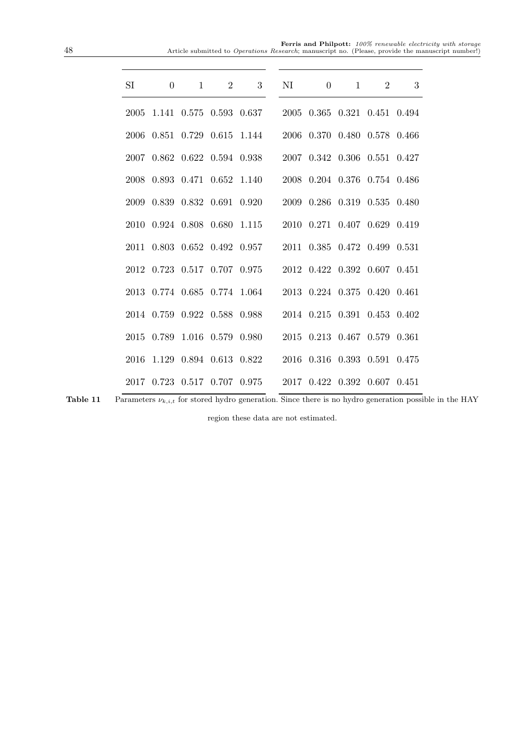# **Ferris and Philpott:** 100% renewable electricity with storage<br>Article submitted to Operations Research; manuscript no. (Please, provide the manuscript number!)

| SI | $\theta$ | $\overline{1}$ | 2 3 NI 0 1 2                                                                                                                                                                                       |  |  | 3 |
|----|----------|----------------|----------------------------------------------------------------------------------------------------------------------------------------------------------------------------------------------------|--|--|---|
|    |          |                | $2005 \hspace{0.2cm} 1.141 \hspace{0.2cm} 0.575 \hspace{0.2cm} 0.593 \hspace{0.2cm} 0.637 \hspace{0.2cm} 2005 \hspace{0.2cm} 0.365 \hspace{0.2cm} 0.321 \hspace{0.2cm} 0.451 \hspace{0.2cm} 0.494$ |  |  |   |
|    |          |                | 2006 0.851 0.729 0.615 1.144 2006 0.370 0.480 0.578 0.466                                                                                                                                          |  |  |   |
|    |          |                | 2007 0.862 0.622 0.594 0.938 2007 0.342 0.306 0.551 0.427                                                                                                                                          |  |  |   |
|    |          |                | 2008 0.893 0.471 0.652 1.140 2008 0.204 0.376 0.754 0.486                                                                                                                                          |  |  |   |
|    |          |                | 2009 0.839 0.832 0.691 0.920 2009 0.286 0.319 0.535 0.480                                                                                                                                          |  |  |   |
|    |          |                | 2010 0.924 0.808 0.680 1.115 2010 0.271 0.407 0.629 0.419                                                                                                                                          |  |  |   |
|    |          |                | 2011 0.803 0.652 0.492 0.957 2011 0.385 0.472 0.499 0.531                                                                                                                                          |  |  |   |
|    |          |                | 2012 0.723 0.517 0.707 0.975 2012 0.422 0.392 0.607 0.451                                                                                                                                          |  |  |   |
|    |          |                | 2013 0.774 0.685 0.774 1.064 2013 0.224 0.375 0.420 0.461                                                                                                                                          |  |  |   |
|    |          |                | 2014 0.759 0.922 0.588 0.988 2014 0.215 0.391 0.453 0.402                                                                                                                                          |  |  |   |
|    |          |                | 2015 0.789 1.016 0.579 0.980 2015 0.213 0.467 0.579 0.361                                                                                                                                          |  |  |   |
|    |          |                | 2016 1.129 0.894 0.613 0.822 2016 0.316 0.393 0.591 0.475                                                                                                                                          |  |  |   |
|    |          |                | $2017 \quad 0.723 \quad 0.517 \quad 0.707 \quad 0.975 \qquad \quad 2017 \quad 0.422 \quad 0.392 \quad 0.607 \quad 0.451$                                                                           |  |  |   |

**Table 11** Parameters  $\nu_{k,i,t}$  for stored hydro generation. Since there is no hydro generation possible in the HAY

region these data are not estimated.